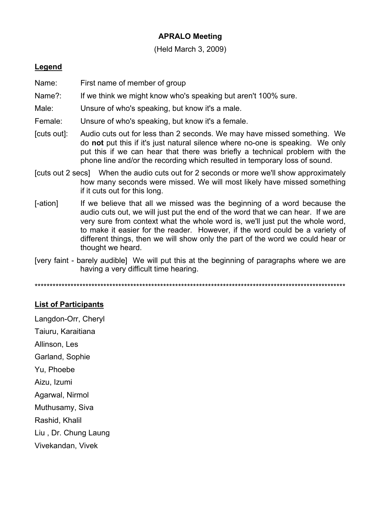## **APRALO Meeting**

(Held March 3, 2009)

## **Legend**

- Name: First name of member of group
- Name?: If we think we might know who's speaking but aren't 100% sure.
- Male: Unsure of who's speaking, but know it's a male.
- Female: Unsure of who's speaking, but know it's a female.
- [cuts out]: Audio cuts out for less than 2 seconds. We may have missed something. We do **not** put this if it's just natural silence where no-one is speaking. We only put this if we can hear that there was briefly a technical problem with the phone line and/or the recording which resulted in temporary loss of sound.
- [cuts out 2 secs] When the audio cuts out for 2 seconds or more we'll show approximately how many seconds were missed. We will most likely have missed something if it cuts out for this long.
- [-ation] If we believe that all we missed was the beginning of a word because the audio cuts out, we will just put the end of the word that we can hear. If we are very sure from context what the whole word is, we'll just put the whole word, to make it easier for the reader. However, if the word could be a variety of different things, then we will show only the part of the word we could hear or thought we heard.
- [very faint barely audible] We will put this at the beginning of paragraphs where we are having a very difficult time hearing.

\*\*\*\*\*\*\*\*\*\*\*\*\*\*\*\*\*\*\*\*\*\*\*\*\*\*\*\*\*\*\*\*\*\*\*\*\*\*\*\*\*\*\*\*\*\*\*\*\*\*\*\*\*\*\*\*\*\*\*\*\*\*\*\*\*\*\*\*\*\*\*\*\*\*\*\*\*\*\*\*\*\*\*\*\*\*\*\*\*\*\*\*\*\*\*\*\*\*\*\*\*\*\*\*

## **List of Participants**

Langdon-Orr, Cheryl Taiuru, Karaitiana Allinson, Les Garland, Sophie Yu, Phoebe Aizu, Izumi Agarwal, Nirmol Muthusamy, Siva Rashid, Khalil Liu , Dr. Chung Laung Vivekandan, Vivek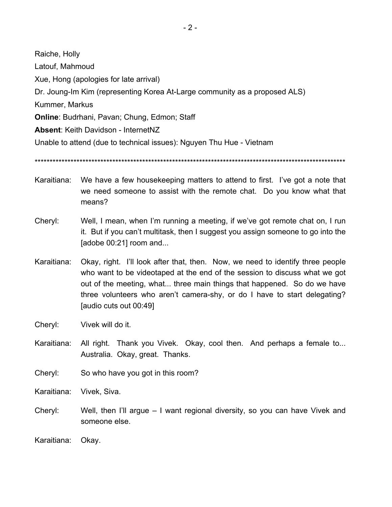Raiche, Holly Latouf, Mahmoud Xue, Hong (apologies for late arrival) Dr. Joung-Im Kim (representing Korea At-Large community as a proposed ALS) Kummer, Markus **Online**: Budrhani, Pavan; Chung, Edmon; Staff **Absent**: Keith Davidson - InternetNZ Unable to attend (due to technical issues): Nguyen Thu Hue - Vietnam

\*\*\*\*\*\*\*\*\*\*\*\*\*\*\*\*\*\*\*\*\*\*\*\*\*\*\*\*\*\*\*\*\*\*\*\*\*\*\*\*\*\*\*\*\*\*\*\*\*\*\*\*\*\*\*\*\*\*\*\*\*\*\*\*\*\*\*\*\*\*\*\*\*\*\*\*\*\*\*\*\*\*\*\*\*\*\*\*\*\*\*\*\*\*\*\*\*\*\*\*\*\*\*\*

- Karaitiana: We have a few housekeeping matters to attend to first. I've got a note that we need someone to assist with the remote chat. Do you know what that means?
- Cheryl: Well, I mean, when I'm running a meeting, if we've got remote chat on, I run it. But if you can't multitask, then I suggest you assign someone to go into the [adobe 00:21] room and...
- Karaitiana: Okay, right. I'll look after that, then. Now, we need to identify three people who want to be videotaped at the end of the session to discuss what we got out of the meeting, what... three main things that happened. So do we have three volunteers who aren't camera-shy, or do I have to start delegating? [audio cuts out 00:49]
- Cheryl: Vivek will do it.
- Karaitiana: All right. Thank you Vivek. Okay, cool then. And perhaps a female to... Australia. Okay, great. Thanks.
- Cheryl: So who have you got in this room?

Karaitiana: Vivek, Siva.

- Cheryl: Well, then I'll argue I want regional diversity, so you can have Vivek and someone else.
- Karaitiana: Okay.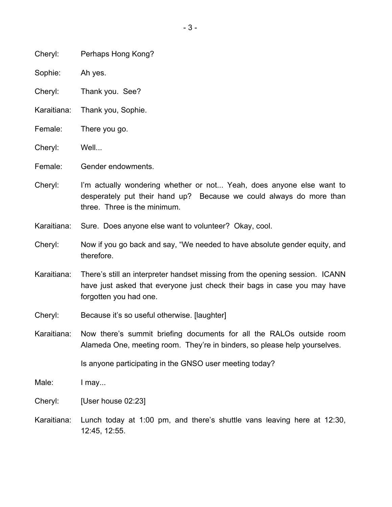| Cheryl: | Perhaps Hong Kong? |  |
|---------|--------------------|--|
|---------|--------------------|--|

Sophie: Ah yes.

Cheryl: Thank you. See?

- Karaitiana: Thank you, Sophie.
- Female: There you go.
- Cheryl: Well...

Female: Gender endowments.

- Cheryl: I'm actually wondering whether or not... Yeah, does anyone else want to desperately put their hand up? Because we could always do more than three. Three is the minimum.
- Karaitiana: Sure. Does anyone else want to volunteer? Okay, cool.
- Cheryl: Now if you go back and say, "We needed to have absolute gender equity, and therefore.
- Karaitiana: There's still an interpreter handset missing from the opening session. ICANN have just asked that everyone just check their bags in case you may have forgotten you had one.
- Cheryl: Because it's so useful otherwise. [laughter]
- Karaitiana: Now there's summit briefing documents for all the RALOs outside room Alameda One, meeting room. They're in binders, so please help yourselves.

Is anyone participating in the GNSO user meeting today?

- Male: I may...
- Cheryl: [User house 02:23]
- Karaitiana: Lunch today at 1:00 pm, and there's shuttle vans leaving here at 12:30, 12:45, 12:55.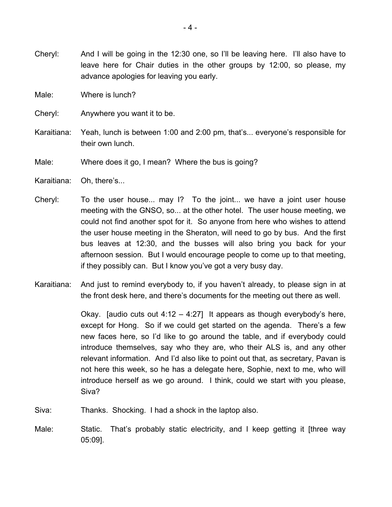- Cheryl: And I will be going in the 12:30 one, so I'll be leaving here. I'll also have to leave here for Chair duties in the other groups by 12:00, so please, my advance apologies for leaving you early.
- Male: Where is lunch?
- Cheryl: Anywhere you want it to be.
- Karaitiana: Yeah, lunch is between 1:00 and 2:00 pm, that's... everyone's responsible for their own lunch.
- Male: Where does it go, I mean? Where the bus is going?
- Karaitiana: Oh, there's...
- Cheryl: To the user house... may I? To the joint... we have a joint user house meeting with the GNSO, so... at the other hotel. The user house meeting, we could not find another spot for it. So anyone from here who wishes to attend the user house meeting in the Sheraton, will need to go by bus. And the first bus leaves at 12:30, and the busses will also bring you back for your afternoon session. But I would encourage people to come up to that meeting, if they possibly can. But I know you've got a very busy day.
- Karaitiana: And just to remind everybody to, if you haven't already, to please sign in at the front desk here, and there's documents for the meeting out there as well.

Okay. [audio cuts out  $4:12 - 4:27$ ] It appears as though everybody's here, except for Hong. So if we could get started on the agenda. There's a few new faces here, so I'd like to go around the table, and if everybody could introduce themselves, say who they are, who their ALS is, and any other relevant information. And I'd also like to point out that, as secretary, Pavan is not here this week, so he has a delegate here, Sophie, next to me, who will introduce herself as we go around. I think, could we start with you please, Siva?

- Siva: Thanks. Shocking. I had a shock in the laptop also.
- Male: Static. That's probably static electricity, and I keep getting it [three way 05:09].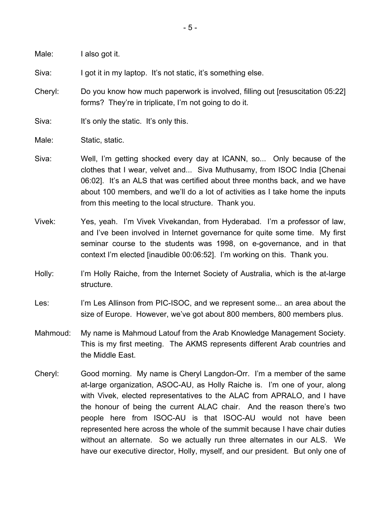Male: I also got it.

Siva: I got it in my laptop. It's not static, it's something else.

- Cheryl: Do you know how much paperwork is involved, filling out [resuscitation 05:22] forms? They're in triplicate, I'm not going to do it.
- Siva: It's only the static. It's only this.
- Male: Static, static.
- Siva: Well, I'm getting shocked every day at ICANN, so... Only because of the clothes that I wear, velvet and... Siva Muthusamy, from ISOC India [Chenai 06:02]. It's an ALS that was certified about three months back, and we have about 100 members, and we'll do a lot of activities as I take home the inputs from this meeting to the local structure. Thank you.
- Vivek: Yes, yeah. I'm Vivek Vivekandan, from Hyderabad. I'm a professor of law, and I've been involved in Internet governance for quite some time. My first seminar course to the students was 1998, on e-governance, and in that context I'm elected [inaudible 00:06:52]. I'm working on this. Thank you.
- Holly: I'm Holly Raiche, from the Internet Society of Australia, which is the at-large structure.
- Les: I'm Les Allinson from PIC-ISOC, and we represent some... an area about the size of Europe. However, we've got about 800 members, 800 members plus.
- Mahmoud: My name is Mahmoud Latouf from the Arab Knowledge Management Society. This is my first meeting. The AKMS represents different Arab countries and the Middle East.
- Cheryl: Good morning. My name is Cheryl Langdon-Orr. I'm a member of the same at-large organization, ASOC-AU, as Holly Raiche is. I'm one of your, along with Vivek, elected representatives to the ALAC from APRALO, and I have the honour of being the current ALAC chair. And the reason there's two people here from ISOC-AU is that ISOC-AU would not have been represented here across the whole of the summit because I have chair duties without an alternate. So we actually run three alternates in our ALS. We have our executive director, Holly, myself, and our president. But only one of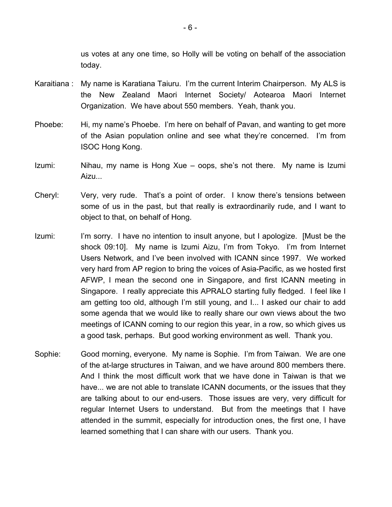us votes at any one time, so Holly will be voting on behalf of the association today.

- Karaitiana : My name is Karatiana Taiuru. I'm the current Interim Chairperson. My ALS is the New Zealand Maori Internet Society/ Aotearoa Maori Internet Organization. We have about 550 members. Yeah, thank you.
- Phoebe: Hi, my name's Phoebe. I'm here on behalf of Pavan, and wanting to get more of the Asian population online and see what they're concerned. I'm from ISOC Hong Kong.
- Izumi: Nihau, my name is Hong Xue oops, she's not there. My name is Izumi Aizu...
- Cheryl: Very, very rude. That's a point of order. I know there's tensions between some of us in the past, but that really is extraordinarily rude, and I want to object to that, on behalf of Hong.
- Izumi: I'm sorry. I have no intention to insult anyone, but I apologize. [Must be the shock 09:10]. My name is Izumi Aizu, I'm from Tokyo. I'm from Internet Users Network, and I've been involved with ICANN since 1997. We worked very hard from AP region to bring the voices of Asia-Pacific, as we hosted first AFWP, I mean the second one in Singapore, and first ICANN meeting in Singapore. I really appreciate this APRALO starting fully fledged. I feel like I am getting too old, although I'm still young, and I... I asked our chair to add some agenda that we would like to really share our own views about the two meetings of ICANN coming to our region this year, in a row, so which gives us a good task, perhaps. But good working environment as well. Thank you.
- Sophie: Good morning, everyone. My name is Sophie. I'm from Taiwan. We are one of the at-large structures in Taiwan, and we have around 800 members there. And I think the most difficult work that we have done in Taiwan is that we have... we are not able to translate ICANN documents, or the issues that they are talking about to our end-users. Those issues are very, very difficult for regular Internet Users to understand. But from the meetings that I have attended in the summit, especially for introduction ones, the first one, I have learned something that I can share with our users. Thank you.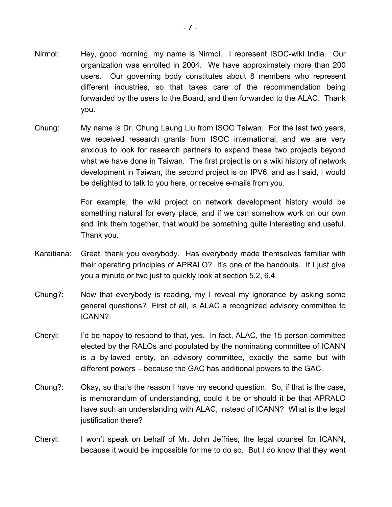- Nirmol: Hey, good morning, my name is Nirmol. I represent ISOC-wiki India. Our organization was enrolled in 2004. We have approximately more than 200 users. Our governing body constitutes about 8 members who represent different industries, so that takes care of the recommendation being forwarded by the users to the Board, and then forwarded to the ALAC. Thank you.
- Chung: My name is Dr. Chung Laung Liu from ISOC Taiwan. For the last two years, we received research grants from ISOC international, and we are very anxious to look for research partners to expand these two projects beyond what we have done in Taiwan. The first project is on a wiki history of network development in Taiwan, the second project is on IPV6, and as I said, I would be delighted to talk to you here, or receive e-mails from you.

For example, the wiki project on network development history would be something natural for every place, and if we can somehow work on our own and link them together, that would be something quite interesting and useful. Thank you.

- Karaitiana: Great, thank you everybody. Has everybody made themselves familiar with their operating principles of APRALO? It's one of the handouts. If I just give you a minute or two just to quickly look at section 5.2, 6.4.
- Chung?: Now that everybody is reading, my I reveal my ignorance by asking some general questions? First of all, is ALAC a recognized advisory committee to ICANN?
- Cheryl: I'd be happy to respond to that, yes. In fact, ALAC, the 15 person committee elected by the RALOs and populated by the nominating committee of ICANN is a by-lawed entity, an advisory committee, exactly the same but with different powers – because the GAC has additional powers to the GAC.
- Chung?: Okay, so that's the reason I have my second question. So, if that is the case, is memorandum of understanding, could it be or should it be that APRALO have such an understanding with ALAC, instead of ICANN? What is the legal justification there?
- Cheryl: I won't speak on behalf of Mr. John Jeffries, the legal counsel for ICANN, because it would be impossible for me to do so. But I do know that they went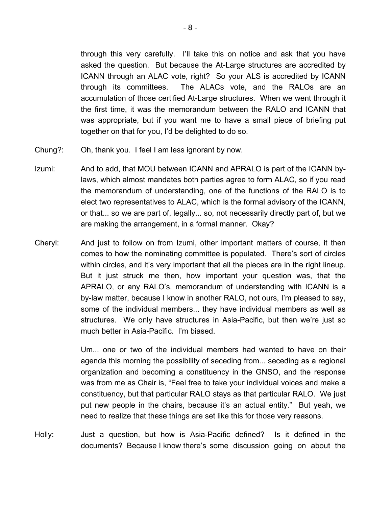through this very carefully. I'll take this on notice and ask that you have asked the question. But because the At-Large structures are accredited by ICANN through an ALAC vote, right? So your ALS is accredited by ICANN through its committees. The ALACs vote, and the RALOs are an accumulation of those certified At-Large structures. When we went through it the first time, it was the memorandum between the RALO and ICANN that was appropriate, but if you want me to have a small piece of briefing put together on that for you, I'd be delighted to do so.

- Chung?: Oh, thank you. I feel I am less ignorant by now.
- Izumi: And to add, that MOU between ICANN and APRALO is part of the ICANN bylaws, which almost mandates both parties agree to form ALAC, so if you read the memorandum of understanding, one of the functions of the RALO is to elect two representatives to ALAC, which is the formal advisory of the ICANN, or that... so we are part of, legally... so, not necessarily directly part of, but we are making the arrangement, in a formal manner. Okay?
- Cheryl: And just to follow on from Izumi, other important matters of course, it then comes to how the nominating committee is populated. There's sort of circles within circles, and it's very important that all the pieces are in the right lineup. But it just struck me then, how important your question was, that the APRALO, or any RALO's, memorandum of understanding with ICANN is a by-law matter, because I know in another RALO, not ours, I'm pleased to say, some of the individual members... they have individual members as well as structures. We only have structures in Asia-Pacific, but then we're just so much better in Asia-Pacific. I'm biased.

Um... one or two of the individual members had wanted to have on their agenda this morning the possibility of seceding from... seceding as a regional organization and becoming a constituency in the GNSO, and the response was from me as Chair is, "Feel free to take your individual voices and make a constituency, but that particular RALO stays as that particular RALO. We just put new people in the chairs, because it's an actual entity." But yeah, we need to realize that these things are set like this for those very reasons.

Holly: Just a question, but how is Asia-Pacific defined? Is it defined in the documents? Because I know there's some discussion going on about the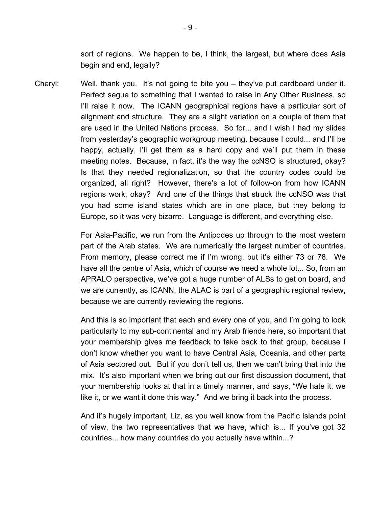sort of regions. We happen to be, I think, the largest, but where does Asia begin and end, legally?

Cheryl: Well, thank you. It's not going to bite you – they've put cardboard under it. Perfect segue to something that I wanted to raise in Any Other Business, so I'll raise it now. The ICANN geographical regions have a particular sort of alignment and structure. They are a slight variation on a couple of them that are used in the United Nations process. So for... and I wish I had my slides from yesterday's geographic workgroup meeting, because I could... and I'll be happy, actually, I'll get them as a hard copy and we'll put them in these meeting notes. Because, in fact, it's the way the ccNSO is structured, okay? Is that they needed regionalization, so that the country codes could be organized, all right? However, there's a lot of follow-on from how ICANN regions work, okay? And one of the things that struck the ccNSO was that you had some island states which are in one place, but they belong to Europe, so it was very bizarre. Language is different, and everything else.

> For Asia-Pacific, we run from the Antipodes up through to the most western part of the Arab states. We are numerically the largest number of countries. From memory, please correct me if I'm wrong, but it's either 73 or 78. We have all the centre of Asia, which of course we need a whole lot... So, from an APRALO perspective, we've got a huge number of ALSs to get on board, and we are currently, as ICANN, the ALAC is part of a geographic regional review, because we are currently reviewing the regions.

> And this is so important that each and every one of you, and I'm going to look particularly to my sub-continental and my Arab friends here, so important that your membership gives me feedback to take back to that group, because I don't know whether you want to have Central Asia, Oceania, and other parts of Asia sectored out. But if you don't tell us, then we can't bring that into the mix. It's also important when we bring out our first discussion document, that your membership looks at that in a timely manner, and says, "We hate it, we like it, or we want it done this way." And we bring it back into the process.

> And it's hugely important, Liz, as you well know from the Pacific Islands point of view, the two representatives that we have, which is... If you've got 32 countries... how many countries do you actually have within...?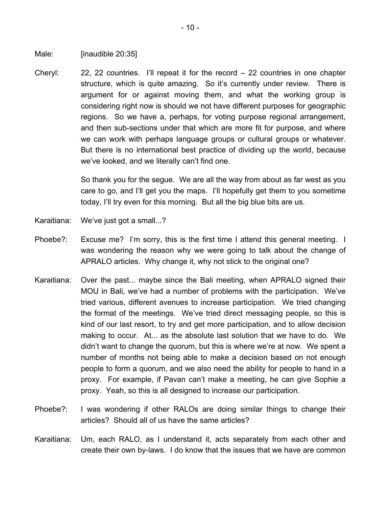Male: [inaudible 20:35]

Cheryl: 22, 22 countries. I'll repeat it for the record – 22 countries in one chapter structure, which is quite amazing. So it's currently under review. There is argument for or against moving them, and what the working group is considering right now is should we not have different purposes for geographic regions. So we have a, perhaps, for voting purpose regional arrangement, and then sub-sections under that which are more fit for purpose, and where we can work with perhaps language groups or cultural groups or whatever. But there is no international best practice of dividing up the world, because we've looked, and we literally can't find one.

> So thank you for the segue. We are all the way from about as far west as you care to go, and I'll get you the maps. I'll hopefully get them to you sometime today, I'll try even for this morning. But all the big blue bits are us.

- Karaitiana: We've just got a small...?
- Phoebe?: Excuse me? I'm sorry, this is the first time I attend this general meeting. I was wondering the reason why we were going to talk about the change of APRALO articles. Why change it, why not stick to the original one?
- Karaitiana: Over the past... maybe since the Bali meeting, when APRALO signed their MOU in Bali, we've had a number of problems with the participation. We've tried various, different avenues to increase participation. We tried changing the format of the meetings. We've tried direct messaging people, so this is kind of our last resort, to try and get more participation, and to allow decision making to occur. At... as the absolute last solution that we have to do. We didn't want to change the quorum, but this is where we're at now. We spent a number of months not being able to make a decision based on not enough people to form a quorum, and we also need the ability for people to hand in a proxy. For example, if Pavan can't make a meeting, he can give Sophie a proxy. Yeah, so this is all designed to increase our participation.
- Phoebe?: I was wondering if other RALOs are doing similar things to change their articles? Should all of us have the same articles?
- Karaitiana: Um, each RALO, as I understand it, acts separately from each other and create their own by-laws. I do know that the issues that we have are common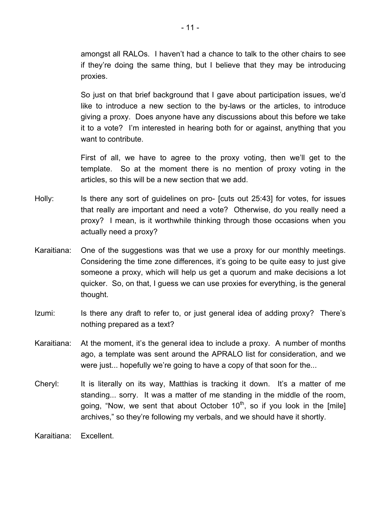amongst all RALOs. I haven't had a chance to talk to the other chairs to see if they're doing the same thing, but I believe that they may be introducing proxies.

So just on that brief background that I gave about participation issues, we'd like to introduce a new section to the by-laws or the articles, to introduce giving a proxy. Does anyone have any discussions about this before we take it to a vote? I'm interested in hearing both for or against, anything that you want to contribute.

First of all, we have to agree to the proxy voting, then we'll get to the template. So at the moment there is no mention of proxy voting in the articles, so this will be a new section that we add.

- Holly: Is there any sort of guidelines on pro- [cuts out 25:43] for votes, for issues that really are important and need a vote? Otherwise, do you really need a proxy? I mean, is it worthwhile thinking through those occasions when you actually need a proxy?
- Karaitiana: One of the suggestions was that we use a proxy for our monthly meetings. Considering the time zone differences, it's going to be quite easy to just give someone a proxy, which will help us get a quorum and make decisions a lot quicker. So, on that, I guess we can use proxies for everything, is the general thought.
- Izumi: Is there any draft to refer to, or just general idea of adding proxy? There's nothing prepared as a text?
- Karaitiana: At the moment, it's the general idea to include a proxy. A number of months ago, a template was sent around the APRALO list for consideration, and we were just... hopefully we're going to have a copy of that soon for the...
- Cheryl: It is literally on its way, Matthias is tracking it down. It's a matter of me standing... sorry. It was a matter of me standing in the middle of the room, going, "Now, we sent that about October  $10<sup>th</sup>$ , so if you look in the [mile] archives," so they're following my verbals, and we should have it shortly.

Karaitiana: Excellent.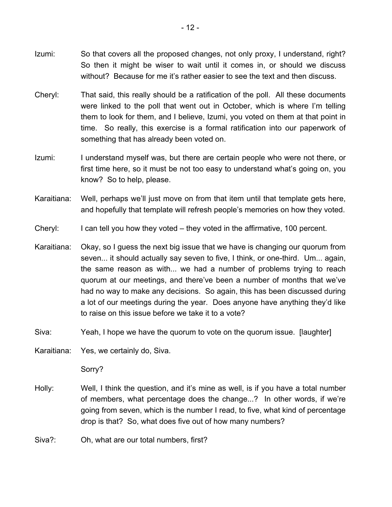- Izumi: So that covers all the proposed changes, not only proxy, I understand, right? So then it might be wiser to wait until it comes in, or should we discuss without? Because for me it's rather easier to see the text and then discuss.
- Cheryl: That said, this really should be a ratification of the poll. All these documents were linked to the poll that went out in October, which is where I'm telling them to look for them, and I believe, Izumi, you voted on them at that point in time. So really, this exercise is a formal ratification into our paperwork of something that has already been voted on.
- Izumi: I understand myself was, but there are certain people who were not there, or first time here, so it must be not too easy to understand what's going on, you know? So to help, please.
- Karaitiana: Well, perhaps we'll just move on from that item until that template gets here, and hopefully that template will refresh people's memories on how they voted.
- Cheryl: I can tell you how they voted they voted in the affirmative, 100 percent.
- Karaitiana: Okay, so I guess the next big issue that we have is changing our quorum from seven... it should actually say seven to five, I think, or one-third. Um... again, the same reason as with... we had a number of problems trying to reach quorum at our meetings, and there've been a number of months that we've had no way to make any decisions. So again, this has been discussed during a lot of our meetings during the year. Does anyone have anything they'd like to raise on this issue before we take it to a vote?
- Siva: Yeah, I hope we have the quorum to vote on the quorum issue. [laughter]
- Karaitiana: Yes, we certainly do, Siva.

Sorry?

- Holly: Well, I think the question, and it's mine as well, is if you have a total number of members, what percentage does the change...? In other words, if we're going from seven, which is the number I read, to five, what kind of percentage drop is that? So, what does five out of how many numbers?
- Siva?: Oh, what are our total numbers, first?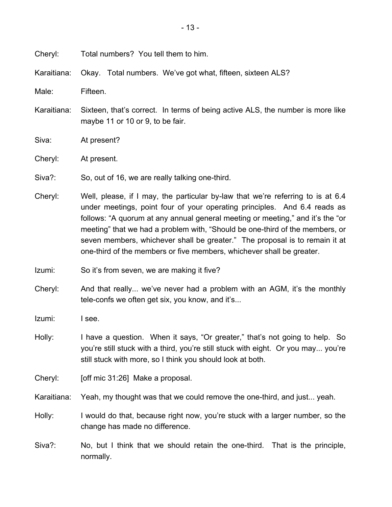Cheryl: Total numbers? You tell them to him.

Karaitiana: Okay. Total numbers. We've got what, fifteen, sixteen ALS?

Male: Fifteen.

Karaitiana: Sixteen, that's correct. In terms of being active ALS, the number is more like maybe 11 or 10 or 9, to be fair.

Siva: At present?

Cheryl: At present.

Siva?: So, out of 16, we are really talking one-third.

- Cheryl: Well, please, if I may, the particular by-law that we're referring to is at 6.4 under meetings, point four of your operating principles. And 6.4 reads as follows: "A quorum at any annual general meeting or meeting," and it's the "or meeting" that we had a problem with, "Should be one-third of the members, or seven members, whichever shall be greater." The proposal is to remain it at one-third of the members or five members, whichever shall be greater.
- Izumi: So it's from seven, we are making it five?
- Cheryl: And that really... we've never had a problem with an AGM, it's the monthly tele-confs we often get six, you know, and it's...

Izumi: I see.

- Holly: I have a question. When it says, "Or greater," that's not going to help. So you're still stuck with a third, you're still stuck with eight. Or you may... you're still stuck with more, so I think you should look at both.
- Cheryl: [off mic 31:26] Make a proposal.

Karaitiana: Yeah, my thought was that we could remove the one-third, and just... yeah.

- Holly: I would do that, because right now, you're stuck with a larger number, so the change has made no difference.
- Siva?: No, but I think that we should retain the one-third. That is the principle, normally.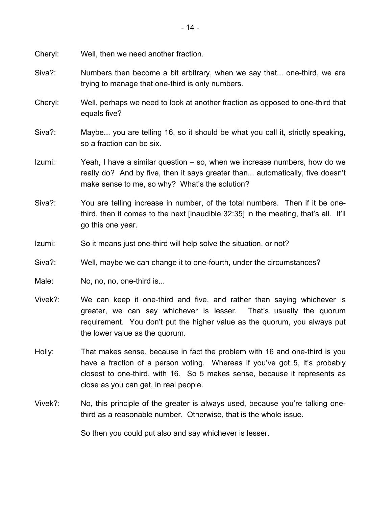Cheryl: Well, then we need another fraction.

- Siva?: Numbers then become a bit arbitrary, when we say that... one-third, we are trying to manage that one-third is only numbers.
- Cheryl: Well, perhaps we need to look at another fraction as opposed to one-third that equals five?
- Siva?: Maybe... you are telling 16, so it should be what you call it, strictly speaking, so a fraction can be six.
- Izumi: Yeah, I have a similar question so, when we increase numbers, how do we really do? And by five, then it says greater than... automatically, five doesn't make sense to me, so why? What's the solution?
- Siva?: You are telling increase in number, of the total numbers. Then if it be onethird, then it comes to the next [inaudible 32:35] in the meeting, that's all. It'll go this one year.
- Izumi: So it means just one-third will help solve the situation, or not?
- Siva?: Well, maybe we can change it to one-fourth, under the circumstances?
- Male: No, no, no, one-third is...
- Vivek?: We can keep it one-third and five, and rather than saying whichever is greater, we can say whichever is lesser. That's usually the quorum requirement. You don't put the higher value as the quorum, you always put the lower value as the quorum.
- Holly: That makes sense, because in fact the problem with 16 and one-third is you have a fraction of a person voting. Whereas if you've got 5, it's probably closest to one-third, with 16. So 5 makes sense, because it represents as close as you can get, in real people.
- Vivek?: No, this principle of the greater is always used, because you're talking onethird as a reasonable number. Otherwise, that is the whole issue.

So then you could put also and say whichever is lesser.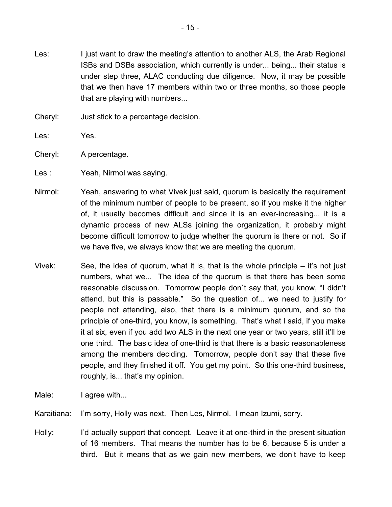- Les: I just want to draw the meeting's attention to another ALS, the Arab Regional ISBs and DSBs association, which currently is under... being... their status is under step three, ALAC conducting due diligence. Now, it may be possible that we then have 17 members within two or three months, so those people that are playing with numbers...
- Cheryl: Just stick to a percentage decision.
- Les: Yes.
- Cheryl: A percentage.
- Les : Yeah, Nirmol was saying.
- Nirmol: Yeah, answering to what Vivek just said, quorum is basically the requirement of the minimum number of people to be present, so if you make it the higher of, it usually becomes difficult and since it is an ever-increasing... it is a dynamic process of new ALSs joining the organization, it probably might become difficult tomorrow to judge whether the quorum is there or not. So if we have five, we always know that we are meeting the quorum.
- Vivek: See, the idea of quorum, what it is, that is the whole principle it's not just numbers, what we... The idea of the quorum is that there has been some reasonable discussion. Tomorrow people don`t say that, you know, "I didn't attend, but this is passable." So the question of... we need to justify for people not attending, also, that there is a minimum quorum, and so the principle of one-third, you know, is something. That's what I said, if you make it at six, even if you add two ALS in the next one year or two years, still it'll be one third. The basic idea of one-third is that there is a basic reasonableness among the members deciding. Tomorrow, people don't say that these five people, and they finished it off. You get my point. So this one-third business, roughly, is... that's my opinion.
- Male: I agree with...

Karaitiana: I'm sorry, Holly was next. Then Les, Nirmol. I mean Izumi, sorry.

Holly: I'd actually support that concept. Leave it at one-third in the present situation of 16 members. That means the number has to be 6, because 5 is under a third. But it means that as we gain new members, we don't have to keep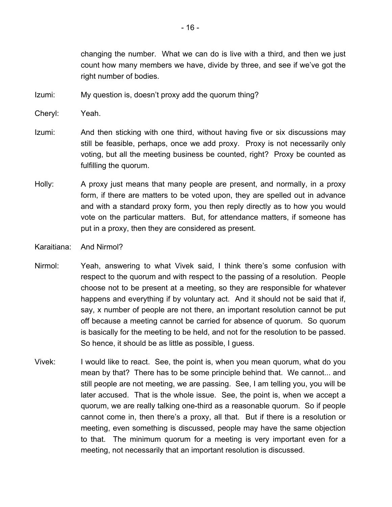changing the number. What we can do is live with a third, and then we just count how many members we have, divide by three, and see if we've got the right number of bodies.

Izumi: My question is, doesn't proxy add the quorum thing?

Cheryl: Yeah.

- Izumi: And then sticking with one third, without having five or six discussions may still be feasible, perhaps, once we add proxy. Proxy is not necessarily only voting, but all the meeting business be counted, right? Proxy be counted as fulfilling the quorum.
- Holly: A proxy just means that many people are present, and normally, in a proxy form, if there are matters to be voted upon, they are spelled out in advance and with a standard proxy form, you then reply directly as to how you would vote on the particular matters. But, for attendance matters, if someone has put in a proxy, then they are considered as present.
- Karaitiana: And Nirmol?
- Nirmol: Yeah, answering to what Vivek said, I think there's some confusion with respect to the quorum and with respect to the passing of a resolution. People choose not to be present at a meeting, so they are responsible for whatever happens and everything if by voluntary act. And it should not be said that if, say, x number of people are not there, an important resolution cannot be put off because a meeting cannot be carried for absence of quorum. So quorum is basically for the meeting to be held, and not for the resolution to be passed. So hence, it should be as little as possible, I guess.
- Vivek: I would like to react. See, the point is, when you mean quorum, what do you mean by that? There has to be some principle behind that. We cannot... and still people are not meeting, we are passing. See, I am telling you, you will be later accused. That is the whole issue. See, the point is, when we accept a quorum, we are really talking one-third as a reasonable quorum. So if people cannot come in, then there's a proxy, all that. But if there is a resolution or meeting, even something is discussed, people may have the same objection to that. The minimum quorum for a meeting is very important even for a meeting, not necessarily that an important resolution is discussed.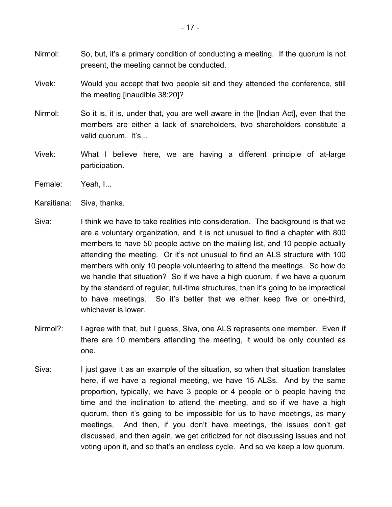- Nirmol: So, but, it's a primary condition of conducting a meeting. If the quorum is not present, the meeting cannot be conducted.
- Vivek: Would you accept that two people sit and they attended the conference, still the meeting [inaudible 38:20]?
- Nirmol: So it is, it is, under that, you are well aware in the [Indian Act], even that the members are either a lack of shareholders, two shareholders constitute a valid quorum. It's...
- Vivek: What I believe here, we are having a different principle of at-large participation.
- Female: Yeah, I...
- Karaitiana: Siva, thanks.
- Siva: I think we have to take realities into consideration. The background is that we are a voluntary organization, and it is not unusual to find a chapter with 800 members to have 50 people active on the mailing list, and 10 people actually attending the meeting. Or it's not unusual to find an ALS structure with 100 members with only 10 people volunteering to attend the meetings. So how do we handle that situation? So if we have a high quorum, if we have a quorum by the standard of regular, full-time structures, then it's going to be impractical to have meetings. So it's better that we either keep five or one-third, whichever is lower.
- Nirmol?: I agree with that, but I guess, Siva, one ALS represents one member. Even if there are 10 members attending the meeting, it would be only counted as one.
- Siva: I just gave it as an example of the situation, so when that situation translates here, if we have a regional meeting, we have 15 ALSs. And by the same proportion, typically, we have 3 people or 4 people or 5 people having the time and the inclination to attend the meeting, and so if we have a high quorum, then it's going to be impossible for us to have meetings, as many meetings, And then, if you don't have meetings, the issues don't get discussed, and then again, we get criticized for not discussing issues and not voting upon it, and so that's an endless cycle. And so we keep a low quorum.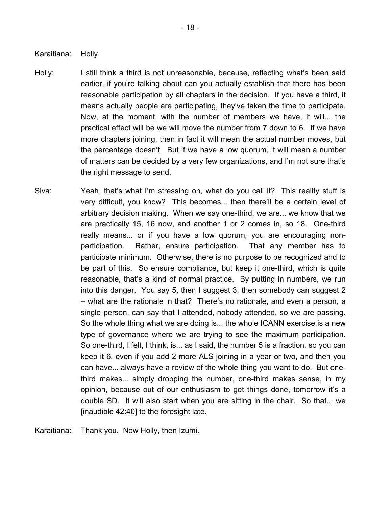Karaitiana: Holly.

- Holly: I still think a third is not unreasonable, because, reflecting what's been said earlier, if you're talking about can you actually establish that there has been reasonable participation by all chapters in the decision. If you have a third, it means actually people are participating, they've taken the time to participate. Now, at the moment, with the number of members we have, it will... the practical effect will be we will move the number from 7 down to 6. If we have more chapters joining, then in fact it will mean the actual number moves, but the percentage doesn't. But if we have a low quorum, it will mean a number of matters can be decided by a very few organizations, and I'm not sure that's the right message to send.
- Siva: Yeah, that's what I'm stressing on, what do you call it? This reality stuff is very difficult, you know? This becomes... then there'll be a certain level of arbitrary decision making. When we say one-third, we are... we know that we are practically 15, 16 now, and another 1 or 2 comes in, so 18. One-third really means... or if you have a low quorum, you are encouraging nonparticipation. Rather, ensure participation. That any member has to participate minimum. Otherwise, there is no purpose to be recognized and to be part of this. So ensure compliance, but keep it one-third, which is quite reasonable, that's a kind of normal practice. By putting in numbers, we run into this danger. You say 5, then I suggest 3, then somebody can suggest 2 – what are the rationale in that? There's no rationale, and even a person, a single person, can say that I attended, nobody attended, so we are passing. So the whole thing what we are doing is... the whole ICANN exercise is a new type of governance where we are trying to see the maximum participation. So one-third, I felt, I think, is... as I said, the number 5 is a fraction, so you can keep it 6, even if you add 2 more ALS joining in a year or two, and then you can have... always have a review of the whole thing you want to do. But onethird makes... simply dropping the number, one-third makes sense, in my opinion, because out of our enthusiasm to get things done, tomorrow it's a double SD. It will also start when you are sitting in the chair. So that... we [inaudible 42:40] to the foresight late.

Karaitiana: Thank you. Now Holly, then Izumi.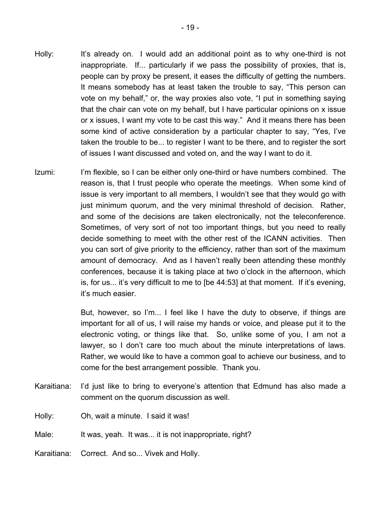- Holly: It's already on. I would add an additional point as to why one-third is not inappropriate. If... particularly if we pass the possibility of proxies, that is, people can by proxy be present, it eases the difficulty of getting the numbers. It means somebody has at least taken the trouble to say, "This person can vote on my behalf," or, the way proxies also vote, "I put in something saying that the chair can vote on my behalf, but I have particular opinions on x issue or x issues, I want my vote to be cast this way." And it means there has been some kind of active consideration by a particular chapter to say, "Yes, I've taken the trouble to be... to register I want to be there, and to register the sort of issues I want discussed and voted on, and the way I want to do it.
- Izumi: I'm flexible, so I can be either only one-third or have numbers combined. The reason is, that I trust people who operate the meetings. When some kind of issue is very important to all members, I wouldn't see that they would go with just minimum quorum, and the very minimal threshold of decision. Rather, and some of the decisions are taken electronically, not the teleconference. Sometimes, of very sort of not too important things, but you need to really decide something to meet with the other rest of the ICANN activities. Then you can sort of give priority to the efficiency, rather than sort of the maximum amount of democracy. And as I haven't really been attending these monthly conferences, because it is taking place at two o'clock in the afternoon, which is, for us... it's very difficult to me to [be 44:53] at that moment. If it's evening, it's much easier.

But, however, so I'm... I feel like I have the duty to observe, if things are important for all of us, I will raise my hands or voice, and please put it to the electronic voting, or things like that. So, unlike some of you, I am not a lawyer, so I don't care too much about the minute interpretations of laws. Rather, we would like to have a common goal to achieve our business, and to come for the best arrangement possible. Thank you.

- Karaitiana: I'd just like to bring to everyone's attention that Edmund has also made a comment on the quorum discussion as well.
- Holly: Oh, wait a minute. I said it was!
- Male: It was, yeah. It was... it is not inappropriate, right?
- Karaitiana: Correct. And so... Vivek and Holly.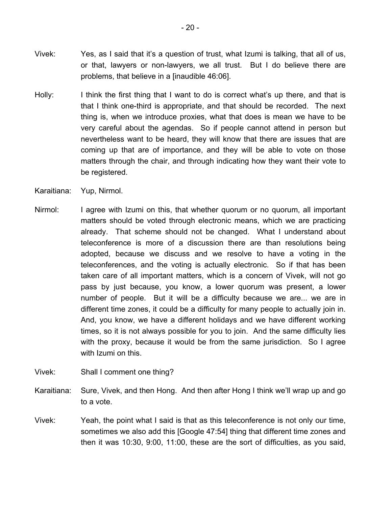- Vivek: Yes, as I said that it's a question of trust, what Izumi is talking, that all of us, or that, lawyers or non-lawyers, we all trust. But I do believe there are problems, that believe in a [inaudible 46:06].
- Holly: I think the first thing that I want to do is correct what's up there, and that is that I think one-third is appropriate, and that should be recorded. The next thing is, when we introduce proxies, what that does is mean we have to be very careful about the agendas. So if people cannot attend in person but nevertheless want to be heard, they will know that there are issues that are coming up that are of importance, and they will be able to vote on those matters through the chair, and through indicating how they want their vote to be registered.
- Karaitiana: Yup, Nirmol.
- Nirmol: I agree with Izumi on this, that whether quorum or no quorum, all important matters should be voted through electronic means, which we are practicing already. That scheme should not be changed. What I understand about teleconference is more of a discussion there are than resolutions being adopted, because we discuss and we resolve to have a voting in the teleconferences, and the voting is actually electronic. So if that has been taken care of all important matters, which is a concern of Vivek, will not go pass by just because, you know, a lower quorum was present, a lower number of people. But it will be a difficulty because we are... we are in different time zones, it could be a difficulty for many people to actually join in. And, you know, we have a different holidays and we have different working times, so it is not always possible for you to join. And the same difficulty lies with the proxy, because it would be from the same jurisdiction. So I agree with Izumi on this.
- Vivek: Shall I comment one thing?
- Karaitiana: Sure, Vivek, and then Hong. And then after Hong I think we'll wrap up and go to a vote.
- Vivek: Yeah, the point what I said is that as this teleconference is not only our time, sometimes we also add this [Google 47:54] thing that different time zones and then it was 10:30, 9:00, 11:00, these are the sort of difficulties, as you said,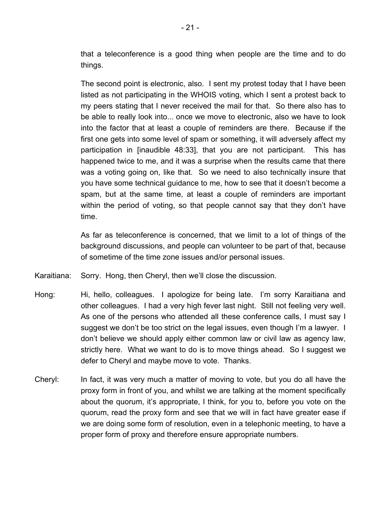that a teleconference is a good thing when people are the time and to do things.

The second point is electronic, also. I sent my protest today that I have been listed as not participating in the WHOIS voting, which I sent a protest back to my peers stating that I never received the mail for that. So there also has to be able to really look into... once we move to electronic, also we have to look into the factor that at least a couple of reminders are there. Because if the first one gets into some level of spam or something, it will adversely affect my participation in [inaudible 48:33], that you are not participant. This has happened twice to me, and it was a surprise when the results came that there was a voting going on, like that. So we need to also technically insure that you have some technical guidance to me, how to see that it doesn't become a spam, but at the same time, at least a couple of reminders are important within the period of voting, so that people cannot say that they don't have time.

As far as teleconference is concerned, that we limit to a lot of things of the background discussions, and people can volunteer to be part of that, because of sometime of the time zone issues and/or personal issues.

Karaitiana: Sorry. Hong, then Cheryl, then we'll close the discussion.

- Hong: Hi, hello, colleagues. I apologize for being late. I'm sorry Karaitiana and other colleagues. I had a very high fever last night. Still not feeling very well. As one of the persons who attended all these conference calls, I must say I suggest we don't be too strict on the legal issues, even though I'm a lawyer. I don't believe we should apply either common law or civil law as agency law, strictly here. What we want to do is to move things ahead. So I suggest we defer to Cheryl and maybe move to vote. Thanks.
- Cheryl: In fact, it was very much a matter of moving to vote, but you do all have the proxy form in front of you, and whilst we are talking at the moment specifically about the quorum, it's appropriate, I think, for you to, before you vote on the quorum, read the proxy form and see that we will in fact have greater ease if we are doing some form of resolution, even in a telephonic meeting, to have a proper form of proxy and therefore ensure appropriate numbers.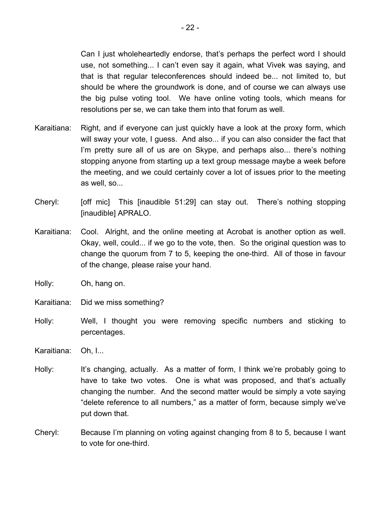Can I just wholeheartedly endorse, that's perhaps the perfect word I should use, not something... I can't even say it again, what Vivek was saying, and that is that regular teleconferences should indeed be... not limited to, but should be where the groundwork is done, and of course we can always use the big pulse voting tool. We have online voting tools, which means for resolutions per se, we can take them into that forum as well.

- Karaitiana: Right, and if everyone can just quickly have a look at the proxy form, which will sway your vote, I guess. And also... if you can also consider the fact that I'm pretty sure all of us are on Skype, and perhaps also... there's nothing stopping anyone from starting up a text group message maybe a week before the meeting, and we could certainly cover a lot of issues prior to the meeting as well, so...
- Cheryl: [off mic] This [inaudible 51:29] can stay out. There's nothing stopping [inaudible] APRALO.
- Karaitiana: Cool. Alright, and the online meeting at Acrobat is another option as well. Okay, well, could... if we go to the vote, then. So the original question was to change the quorum from 7 to 5, keeping the one-third. All of those in favour of the change, please raise your hand.
- Holly: Oh, hang on.
- Karaitiana: Did we miss something?
- Holly: Well, I thought you were removing specific numbers and sticking to percentages.
- Karaitiana: Oh, I...
- Holly: It's changing, actually. As a matter of form, I think we're probably going to have to take two votes. One is what was proposed, and that's actually changing the number. And the second matter would be simply a vote saying "delete reference to all numbers," as a matter of form, because simply we've put down that.
- Cheryl: Because I'm planning on voting against changing from 8 to 5, because I want to vote for one-third.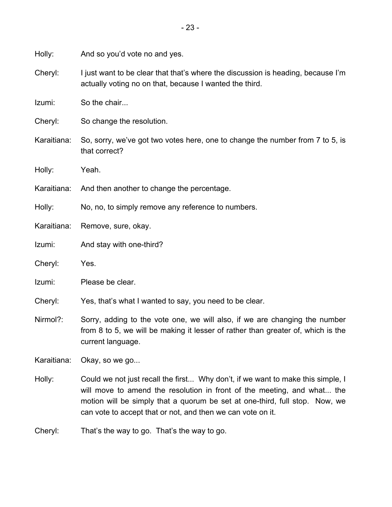Holly: And so you'd vote no and yes.

Cheryl: I just want to be clear that that's where the discussion is heading, because I'm actually voting no on that, because I wanted the third.

Izumi: So the chair...

Cheryl: So change the resolution.

Karaitiana: So, sorry, we've got two votes here, one to change the number from 7 to 5, is that correct?

Holly: Yeah.

Karaitiana: And then another to change the percentage.

Holly: No, no, to simply remove any reference to numbers.

Karaitiana: Remove, sure, okay.

Izumi: And stay with one-third?

Cheryl: Yes.

Izumi: Please be clear.

Cheryl: Yes, that's what I wanted to say, you need to be clear.

Nirmol?: Sorry, adding to the vote one, we will also, if we are changing the number from 8 to 5, we will be making it lesser of rather than greater of, which is the current language.

Karaitiana: Okay, so we go...

Holly: Could we not just recall the first... Why don't, if we want to make this simple, I will move to amend the resolution in front of the meeting, and what... the motion will be simply that a quorum be set at one-third, full stop. Now, we can vote to accept that or not, and then we can vote on it.

Cheryl: That's the way to go. That's the way to go.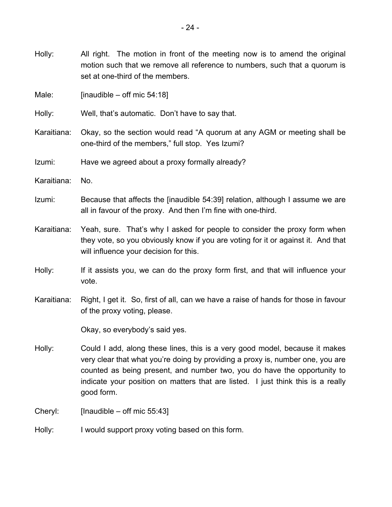Holly: All right. The motion in front of the meeting now is to amend the original motion such that we remove all reference to numbers, such that a quorum is set at one-third of the members.

Male:  $[inaudible - offmic 54:18]$ 

Holly: Well, that's automatic. Don't have to say that.

Karaitiana: Okay, so the section would read "A quorum at any AGM or meeting shall be one-third of the members," full stop. Yes Izumi?

Izumi: Have we agreed about a proxy formally already?

- Karaitiana: No.
- Izumi: Because that affects the [inaudible 54:39] relation, although I assume we are all in favour of the proxy. And then I'm fine with one-third.
- Karaitiana: Yeah, sure. That's why I asked for people to consider the proxy form when they vote, so you obviously know if you are voting for it or against it. And that will influence your decision for this.
- Holly: If it assists you, we can do the proxy form first, and that will influence your vote.
- Karaitiana: Right, I get it. So, first of all, can we have a raise of hands for those in favour of the proxy voting, please.

Okay, so everybody's said yes.

Holly: Could I add, along these lines, this is a very good model, because it makes very clear that what you're doing by providing a proxy is, number one, you are counted as being present, and number two, you do have the opportunity to indicate your position on matters that are listed. I just think this is a really good form.

Cheryl: [Inaudible – off mic 55:43]

Holly: I would support proxy voting based on this form.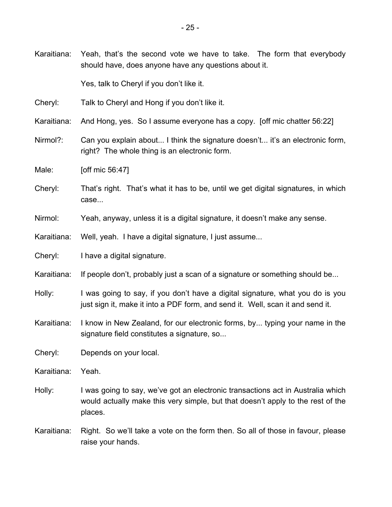Karaitiana: Yeah, that's the second vote we have to take. The form that everybody should have, does anyone have any questions about it.

Yes, talk to Cheryl if you don't like it.

- Cheryl: Talk to Cheryl and Hong if you don't like it.
- Karaitiana: And Hong, yes. So I assume everyone has a copy. [off mic chatter 56:22]
- Nirmol?: Can you explain about... I think the signature doesn't... it's an electronic form, right? The whole thing is an electronic form.
- Male: **[off mic 56:47]**
- Cheryl: That's right. That's what it has to be, until we get digital signatures, in which case...
- Nirmol: Yeah, anyway, unless it is a digital signature, it doesn't make any sense.
- Karaitiana: Well, yeah. I have a digital signature, I just assume...
- Cheryl: I have a digital signature.
- Karaitiana: If people don't, probably just a scan of a signature or something should be...
- Holly: I was going to say, if you don't have a digital signature, what you do is you just sign it, make it into a PDF form, and send it. Well, scan it and send it.
- Karaitiana: I know in New Zealand, for our electronic forms, by... typing your name in the signature field constitutes a signature, so...

Cheryl: Depends on your local.

Karaitiana: Yeah.

- Holly: I was going to say, we've got an electronic transactions act in Australia which would actually make this very simple, but that doesn't apply to the rest of the places.
- Karaitiana: Right. So we'll take a vote on the form then. So all of those in favour, please raise your hands.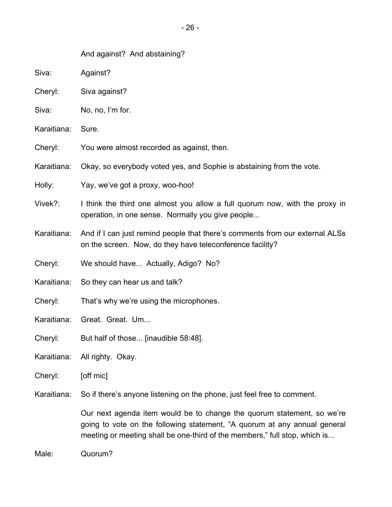## And against? And abstaining?

- Siva: Against?
- Cheryl: Siva against?
- Siva: No, no, I'm for.
- Karaitiana: Sure.
- Cheryl: You were almost recorded as against, then.
- Karaitiana: Okay, so everybody voted yes, and Sophie is abstaining from the vote.
- Holly: Yay, we've got a proxy, woo-hoo!
- Vivek?: I think the third one almost you allow a full quorum now, with the proxy in operation, in one sense. Normally you give people...
- Karaitiana: And if I can just remind people that there's comments from our external ALSs on the screen. Now, do they have teleconference facility?
- Cheryl: We should have... Actually, Adigo? No?
- Karaitiana: So they can hear us and talk?
- Cheryl: That's why we're using the microphones.
- Karaitiana: Great. Great. Um...
- Cheryl: But half of those... [inaudible 58:48].
- Karaitiana: All righty. Okay.
- Cheryl: [off mic]

Karaitiana: So if there's anyone listening on the phone, just feel free to comment.

Our next agenda item would be to change the quorum statement, so we're going to vote on the following statement, "A quorum at any annual general meeting or meeting shall be one-third of the members," full stop, which is...

Male: Quorum?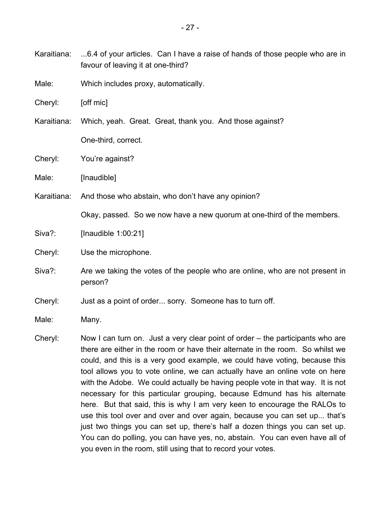- Karaitiana: ...6.4 of your articles. Can I have a raise of hands of those people who are in favour of leaving it at one-third?
- Male: Which includes proxy, automatically.
- Cheryl: [off mic]
- Karaitiana: Which, yeah. Great. Great, thank you. And those against? One-third, correct.
- Cheryl: You're against?
- Male: [Inaudible]
- Karaitiana: And those who abstain, who don't have any opinion?

Okay, passed. So we now have a new quorum at one-third of the members.

- Siva?: [Inaudible 1:00:21]
- Cheryl: Use the microphone.
- Siva?: Are we taking the votes of the people who are online, who are not present in person?
- Cheryl: Just as a point of order... sorry. Someone has to turn off.
- Male: Many.
- Cheryl: Now I can turn on. Just a very clear point of order the participants who are there are either in the room or have their alternate in the room. So whilst we could, and this is a very good example, we could have voting, because this tool allows you to vote online, we can actually have an online vote on here with the Adobe. We could actually be having people vote in that way. It is not necessary for this particular grouping, because Edmund has his alternate here. But that said, this is why I am very keen to encourage the RALOs to use this tool over and over and over again, because you can set up... that's just two things you can set up, there's half a dozen things you can set up. You can do polling, you can have yes, no, abstain. You can even have all of you even in the room, still using that to record your votes.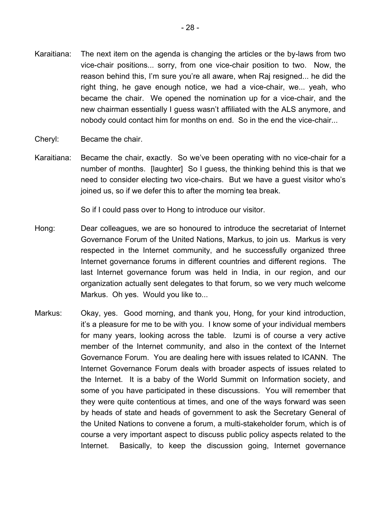- Karaitiana: The next item on the agenda is changing the articles or the by-laws from two vice-chair positions... sorry, from one vice-chair position to two. Now, the reason behind this, I'm sure you're all aware, when Raj resigned... he did the right thing, he gave enough notice, we had a vice-chair, we... yeah, who became the chair. We opened the nomination up for a vice-chair, and the new chairman essentially I guess wasn't affiliated with the ALS anymore, and nobody could contact him for months on end. So in the end the vice-chair...
- Cheryl: Became the chair.
- Karaitiana: Became the chair, exactly. So we've been operating with no vice-chair for a number of months. [laughter] So I guess, the thinking behind this is that we need to consider electing two vice-chairs. But we have a guest visitor who's joined us, so if we defer this to after the morning tea break.

So if I could pass over to Hong to introduce our visitor.

- Hong: Dear colleagues, we are so honoured to introduce the secretariat of Internet Governance Forum of the United Nations, Markus, to join us. Markus is very respected in the Internet community, and he successfully organized three Internet governance forums in different countries and different regions. The last Internet governance forum was held in India, in our region, and our organization actually sent delegates to that forum, so we very much welcome Markus. Oh yes. Would you like to...
- Markus: Okay, yes. Good morning, and thank you, Hong, for your kind introduction, it's a pleasure for me to be with you. I know some of your individual members for many years, looking across the table. Izumi is of course a very active member of the Internet community, and also in the context of the Internet Governance Forum. You are dealing here with issues related to ICANN. The Internet Governance Forum deals with broader aspects of issues related to the Internet. It is a baby of the World Summit on Information society, and some of you have participated in these discussions. You will remember that they were quite contentious at times, and one of the ways forward was seen by heads of state and heads of government to ask the Secretary General of the United Nations to convene a forum, a multi-stakeholder forum, which is of course a very important aspect to discuss public policy aspects related to the Internet. Basically, to keep the discussion going, Internet governance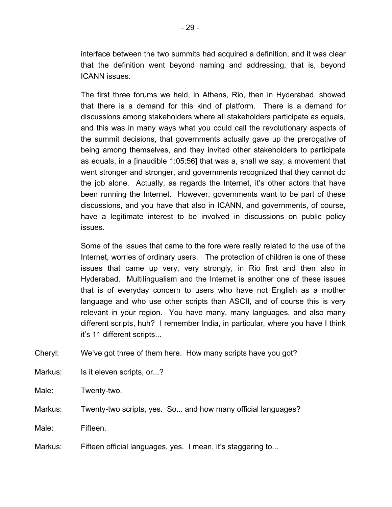interface between the two summits had acquired a definition, and it was clear that the definition went beyond naming and addressing, that is, beyond ICANN issues.

The first three forums we held, in Athens, Rio, then in Hyderabad, showed that there is a demand for this kind of platform. There is a demand for discussions among stakeholders where all stakeholders participate as equals, and this was in many ways what you could call the revolutionary aspects of the summit decisions, that governments actually gave up the prerogative of being among themselves, and they invited other stakeholders to participate as equals, in a [inaudible 1:05:56] that was a, shall we say, a movement that went stronger and stronger, and governments recognized that they cannot do the job alone. Actually, as regards the Internet, it's other actors that have been running the Internet. However, governments want to be part of these discussions, and you have that also in ICANN, and governments, of course, have a legitimate interest to be involved in discussions on public policy issues.

Some of the issues that came to the fore were really related to the use of the Internet, worries of ordinary users. The protection of children is one of these issues that came up very, very strongly, in Rio first and then also in Hyderabad. Multilingualism and the Internet is another one of these issues that is of everyday concern to users who have not English as a mother language and who use other scripts than ASCII, and of course this is very relevant in your region. You have many, many languages, and also many different scripts, huh? I remember India, in particular, where you have I think it's 11 different scripts...

Cheryl: We've got three of them here. How many scripts have you got?

- Markus: Is it eleven scripts, or...?
- Male: Twenty-two.

Markus: Twenty-two scripts, yes. So... and how many official languages?

Male: Fifteen.

Markus: Fifteen official languages, yes. I mean, it's staggering to...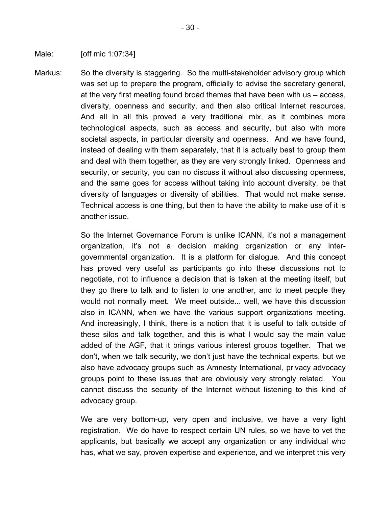Male: [off mic 1:07:34]

Markus: So the diversity is staggering. So the multi-stakeholder advisory group which was set up to prepare the program, officially to advise the secretary general, at the very first meeting found broad themes that have been with us – access, diversity, openness and security, and then also critical Internet resources. And all in all this proved a very traditional mix, as it combines more technological aspects, such as access and security, but also with more societal aspects, in particular diversity and openness. And we have found, instead of dealing with them separately, that it is actually best to group them and deal with them together, as they are very strongly linked. Openness and security, or security, you can no discuss it without also discussing openness, and the same goes for access without taking into account diversity, be that diversity of languages or diversity of abilities. That would not make sense. Technical access is one thing, but then to have the ability to make use of it is another issue.

> So the Internet Governance Forum is unlike ICANN, it's not a management organization, it's not a decision making organization or any intergovernmental organization. It is a platform for dialogue. And this concept has proved very useful as participants go into these discussions not to negotiate, not to influence a decision that is taken at the meeting itself, but they go there to talk and to listen to one another, and to meet people they would not normally meet. We meet outside... well, we have this discussion also in ICANN, when we have the various support organizations meeting. And increasingly, I think, there is a notion that it is useful to talk outside of these silos and talk together, and this is what I would say the main value added of the AGF, that it brings various interest groups together. That we don't, when we talk security, we don't just have the technical experts, but we also have advocacy groups such as Amnesty International, privacy advocacy groups point to these issues that are obviously very strongly related. You cannot discuss the security of the Internet without listening to this kind of advocacy group.

> We are very bottom-up, very open and inclusive, we have a very light registration. We do have to respect certain UN rules, so we have to vet the applicants, but basically we accept any organization or any individual who has, what we say, proven expertise and experience, and we interpret this very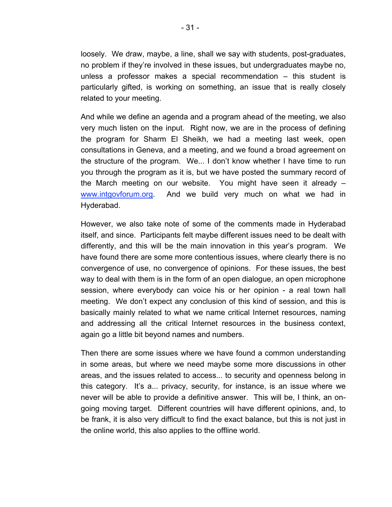loosely. We draw, maybe, a line, shall we say with students, post-graduates, no problem if they're involved in these issues, but undergraduates maybe no, unless a professor makes a special recommendation – this student is particularly gifted, is working on something, an issue that is really closely related to your meeting.

And while we define an agenda and a program ahead of the meeting, we also very much listen on the input. Right now, we are in the process of defining the program for Sharm El Sheikh, we had a meeting last week, open consultations in Geneva, and a meeting, and we found a broad agreement on the structure of the program. We... I don't know whether I have time to run you through the program as it is, but we have posted the summary record of the March meeting on our website. You might have seen it already – www.intgovforum.org. And we build very much on what we had in Hyderabad.

However, we also take note of some of the comments made in Hyderabad itself, and since. Participants felt maybe different issues need to be dealt with differently, and this will be the main innovation in this year's program. We have found there are some more contentious issues, where clearly there is no convergence of use, no convergence of opinions. For these issues, the best way to deal with them is in the form of an open dialogue, an open microphone session, where everybody can voice his or her opinion - a real town hall meeting. We don't expect any conclusion of this kind of session, and this is basically mainly related to what we name critical Internet resources, naming and addressing all the critical Internet resources in the business context, again go a little bit beyond names and numbers.

Then there are some issues where we have found a common understanding in some areas, but where we need maybe some more discussions in other areas, and the issues related to access... to security and openness belong in this category. It's a... privacy, security, for instance, is an issue where we never will be able to provide a definitive answer. This will be, I think, an ongoing moving target. Different countries will have different opinions, and, to be frank, it is also very difficult to find the exact balance, but this is not just in the online world, this also applies to the offline world.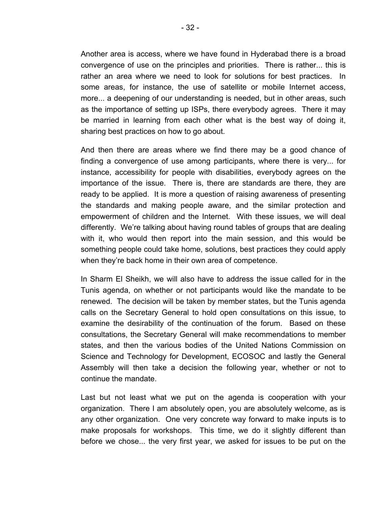Another area is access, where we have found in Hyderabad there is a broad convergence of use on the principles and priorities. There is rather... this is rather an area where we need to look for solutions for best practices. In some areas, for instance, the use of satellite or mobile Internet access, more... a deepening of our understanding is needed, but in other areas, such as the importance of setting up ISPs, there everybody agrees. There it may be married in learning from each other what is the best way of doing it, sharing best practices on how to go about.

And then there are areas where we find there may be a good chance of finding a convergence of use among participants, where there is very... for instance, accessibility for people with disabilities, everybody agrees on the importance of the issue. There is, there are standards are there, they are ready to be applied. It is more a question of raising awareness of presenting the standards and making people aware, and the similar protection and empowerment of children and the Internet. With these issues, we will deal differently. We're talking about having round tables of groups that are dealing with it, who would then report into the main session, and this would be something people could take home, solutions, best practices they could apply when they're back home in their own area of competence.

In Sharm El Sheikh, we will also have to address the issue called for in the Tunis agenda, on whether or not participants would like the mandate to be renewed. The decision will be taken by member states, but the Tunis agenda calls on the Secretary General to hold open consultations on this issue, to examine the desirability of the continuation of the forum. Based on these consultations, the Secretary General will make recommendations to member states, and then the various bodies of the United Nations Commission on Science and Technology for Development, ECOSOC and lastly the General Assembly will then take a decision the following year, whether or not to continue the mandate.

Last but not least what we put on the agenda is cooperation with your organization. There I am absolutely open, you are absolutely welcome, as is any other organization. One very concrete way forward to make inputs is to make proposals for workshops. This time, we do it slightly different than before we chose... the very first year, we asked for issues to be put on the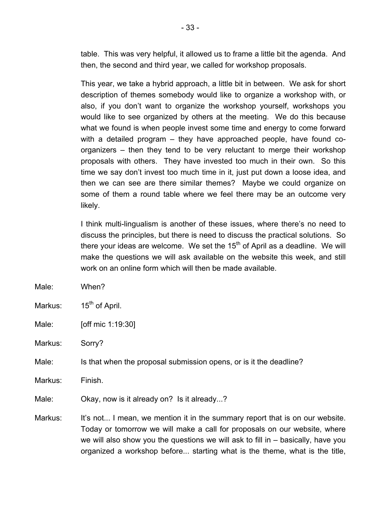table. This was very helpful, it allowed us to frame a little bit the agenda. And then, the second and third year, we called for workshop proposals.

This year, we take a hybrid approach, a little bit in between. We ask for short description of themes somebody would like to organize a workshop with, or also, if you don't want to organize the workshop yourself, workshops you would like to see organized by others at the meeting. We do this because what we found is when people invest some time and energy to come forward with a detailed program – they have approached people, have found coorganizers – then they tend to be very reluctant to merge their workshop proposals with others. They have invested too much in their own. So this time we say don't invest too much time in it, just put down a loose idea, and then we can see are there similar themes? Maybe we could organize on some of them a round table where we feel there may be an outcome very likely.

I think multi-lingualism is another of these issues, where there's no need to discuss the principles, but there is need to discuss the practical solutions. So there your ideas are welcome. We set the  $15<sup>th</sup>$  of April as a deadline. We will make the questions we will ask available on the website this week, and still work on an online form which will then be made available.

Male: When?

Markus: 15<sup>th</sup> of April.

Male: **[off mic 1:19:30]** 

Markus: Sorry?

Male: Is that when the proposal submission opens, or is it the deadline?

Markus: Finish.

Male: Okay, now is it already on? Is it already...?

Markus: It's not... I mean, we mention it in the summary report that is on our website. Today or tomorrow we will make a call for proposals on our website, where we will also show you the questions we will ask to fill in – basically, have you organized a workshop before... starting what is the theme, what is the title,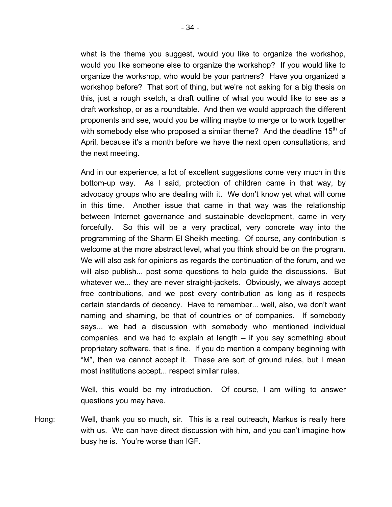what is the theme you suggest, would you like to organize the workshop, would you like someone else to organize the workshop? If you would like to organize the workshop, who would be your partners? Have you organized a workshop before? That sort of thing, but we're not asking for a big thesis on this, just a rough sketch, a draft outline of what you would like to see as a draft workshop, or as a roundtable. And then we would approach the different proponents and see, would you be willing maybe to merge or to work together with somebody else who proposed a similar theme? And the deadline  $15<sup>th</sup>$  of April, because it's a month before we have the next open consultations, and

And in our experience, a lot of excellent suggestions come very much in this bottom-up way. As I said, protection of children came in that way, by advocacy groups who are dealing with it. We don't know yet what will come in this time. Another issue that came in that way was the relationship between Internet governance and sustainable development, came in very forcefully. So this will be a very practical, very concrete way into the programming of the Sharm El Sheikh meeting. Of course, any contribution is welcome at the more abstract level, what you think should be on the program. We will also ask for opinions as regards the continuation of the forum, and we will also publish... post some questions to help guide the discussions. But whatever we... they are never straight-jackets. Obviously, we always accept free contributions, and we post every contribution as long as it respects certain standards of decency. Have to remember... well, also, we don't want naming and shaming, be that of countries or of companies. If somebody says... we had a discussion with somebody who mentioned individual companies, and we had to explain at length – if you say something about proprietary software, that is fine. If you do mention a company beginning with "M", then we cannot accept it. These are sort of ground rules, but I mean most institutions accept... respect similar rules.

Well, this would be my introduction. Of course, I am willing to answer questions you may have.

Hong: Well, thank you so much, sir. This is a real outreach, Markus is really here with us. We can have direct discussion with him, and you can't imagine how busy he is. You're worse than IGF.

the next meeting.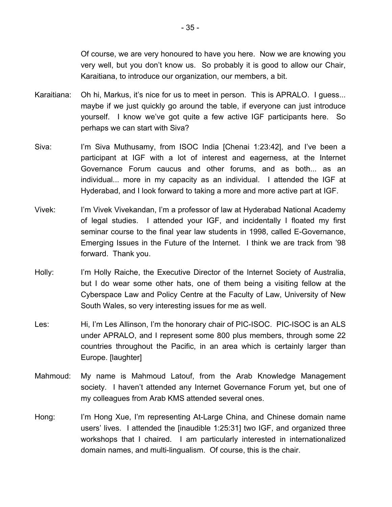Of course, we are very honoured to have you here. Now we are knowing you very well, but you don't know us. So probably it is good to allow our Chair, Karaitiana, to introduce our organization, our members, a bit.

- Karaitiana: Oh hi, Markus, it's nice for us to meet in person. This is APRALO. I guess... maybe if we just quickly go around the table, if everyone can just introduce yourself. I know we've got quite a few active IGF participants here. So perhaps we can start with Siva?
- Siva: I'm Siva Muthusamy, from ISOC India [Chenai 1:23:42], and I've been a participant at IGF with a lot of interest and eagerness, at the Internet Governance Forum caucus and other forums, and as both... as an individual... more in my capacity as an individual. I attended the IGF at Hyderabad, and I look forward to taking a more and more active part at IGF.
- Vivek: I'm Vivek Vivekandan, I'm a professor of law at Hyderabad National Academy of legal studies. I attended your IGF, and incidentally I floated my first seminar course to the final year law students in 1998, called E-Governance, Emerging Issues in the Future of the Internet. I think we are track from '98 forward. Thank you.
- Holly: I'm Holly Raiche, the Executive Director of the Internet Society of Australia, but I do wear some other hats, one of them being a visiting fellow at the Cyberspace Law and Policy Centre at the Faculty of Law, University of New South Wales, so very interesting issues for me as well.
- Les: Hi, I'm Les Allinson, I'm the honorary chair of PIC-ISOC. PIC-ISOC is an ALS under APRALO, and I represent some 800 plus members, through some 22 countries throughout the Pacific, in an area which is certainly larger than Europe. [laughter]
- Mahmoud: My name is Mahmoud Latouf, from the Arab Knowledge Management society. I haven't attended any Internet Governance Forum yet, but one of my colleagues from Arab KMS attended several ones.
- Hong: I'm Hong Xue, I'm representing At-Large China, and Chinese domain name users' lives. I attended the [inaudible 1:25:31] two IGF, and organized three workshops that I chaired. I am particularly interested in internationalized domain names, and multi-lingualism. Of course, this is the chair.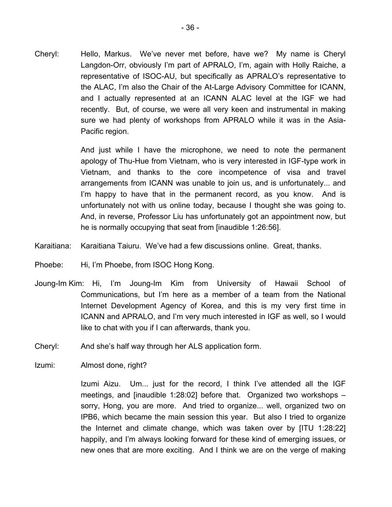Cheryl: Hello, Markus. We've never met before, have we? My name is Cheryl Langdon-Orr, obviously I'm part of APRALO, I'm, again with Holly Raiche, a representative of ISOC-AU, but specifically as APRALO's representative to the ALAC, I'm also the Chair of the At-Large Advisory Committee for ICANN, and I actually represented at an ICANN ALAC level at the IGF we had recently. But, of course, we were all very keen and instrumental in making sure we had plenty of workshops from APRALO while it was in the Asia-Pacific region.

> And just while I have the microphone, we need to note the permanent apology of Thu-Hue from Vietnam, who is very interested in IGF-type work in Vietnam, and thanks to the core incompetence of visa and travel arrangements from ICANN was unable to join us, and is unfortunately... and I'm happy to have that in the permanent record, as you know. And is unfortunately not with us online today, because I thought she was going to. And, in reverse, Professor Liu has unfortunately got an appointment now, but he is normally occupying that seat from [inaudible 1:26:56].

- Karaitiana: Karaitiana Taiuru. We've had a few discussions online. Great, thanks.
- Phoebe: Hi, I'm Phoebe, from ISOC Hong Kong.
- Joung-Im Kim: Hi, I'm Joung-Im Kim from University of Hawaii School of Communications, but I'm here as a member of a team from the National Internet Development Agency of Korea, and this is my very first time in ICANN and APRALO, and I'm very much interested in IGF as well, so I would like to chat with you if I can afterwards, thank you.
- Cheryl: And she's half way through her ALS application form.
- Izumi: Almost done, right?

Izumi Aizu. Um... just for the record, I think I've attended all the IGF meetings, and [inaudible 1:28:02] before that. Organized two workshops – sorry, Hong, you are more. And tried to organize... well, organized two on IPB6, which became the main session this year. But also I tried to organize the Internet and climate change, which was taken over by [ITU 1:28:22] happily, and I'm always looking forward for these kind of emerging issues, or new ones that are more exciting. And I think we are on the verge of making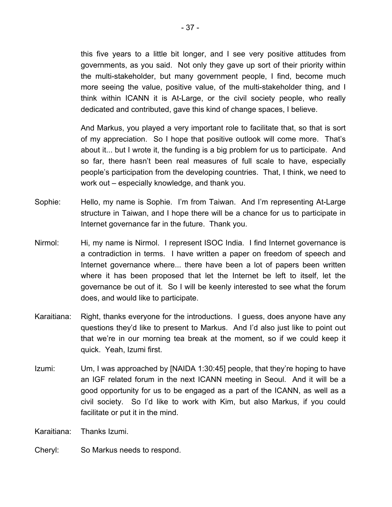this five years to a little bit longer, and I see very positive attitudes from governments, as you said. Not only they gave up sort of their priority within the multi-stakeholder, but many government people, I find, become much more seeing the value, positive value, of the multi-stakeholder thing, and I think within ICANN it is At-Large, or the civil society people, who really dedicated and contributed, gave this kind of change spaces, I believe.

And Markus, you played a very important role to facilitate that, so that is sort of my appreciation. So I hope that positive outlook will come more. That's about it... but I wrote it, the funding is a big problem for us to participate. And so far, there hasn't been real measures of full scale to have, especially people's participation from the developing countries. That, I think, we need to work out – especially knowledge, and thank you.

- Sophie: Hello, my name is Sophie. I'm from Taiwan. And I'm representing At-Large structure in Taiwan, and I hope there will be a chance for us to participate in Internet governance far in the future. Thank you.
- Nirmol: Hi, my name is Nirmol. I represent ISOC India. I find Internet governance is a contradiction in terms. I have written a paper on freedom of speech and Internet governance where... there have been a lot of papers been written where it has been proposed that let the Internet be left to itself, let the governance be out of it. So I will be keenly interested to see what the forum does, and would like to participate.
- Karaitiana: Right, thanks everyone for the introductions. I guess, does anyone have any questions they'd like to present to Markus. And I'd also just like to point out that we're in our morning tea break at the moment, so if we could keep it quick. Yeah, Izumi first.
- Izumi: Um, I was approached by [NAIDA 1:30:45] people, that they're hoping to have an IGF related forum in the next ICANN meeting in Seoul. And it will be a good opportunity for us to be engaged as a part of the ICANN, as well as a civil society. So I'd like to work with Kim, but also Markus, if you could facilitate or put it in the mind.

Karaitiana: Thanks Izumi.

Cheryl: So Markus needs to respond.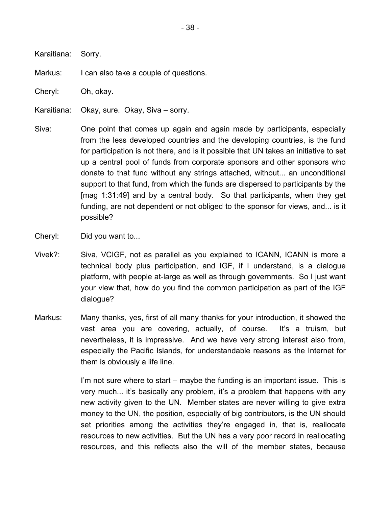Karaitiana: Sorry.

Markus: I can also take a couple of questions.

Cheryl: Oh, okay.

Karaitiana: Okay, sure. Okay, Siva – sorry.

- Siva: One point that comes up again and again made by participants, especially from the less developed countries and the developing countries, is the fund for participation is not there, and is it possible that UN takes an initiative to set up a central pool of funds from corporate sponsors and other sponsors who donate to that fund without any strings attached, without... an unconditional support to that fund, from which the funds are dispersed to participants by the [mag 1:31:49] and by a central body. So that participants, when they get funding, are not dependent or not obliged to the sponsor for views, and... is it possible?
- Cheryl: Did you want to...
- Vivek?: Siva, VCIGF, not as parallel as you explained to ICANN, ICANN is more a technical body plus participation, and IGF, if I understand, is a dialogue platform, with people at-large as well as through governments. So I just want your view that, how do you find the common participation as part of the IGF dialogue?
- Markus: Many thanks, yes, first of all many thanks for your introduction, it showed the vast area you are covering, actually, of course. It's a truism, but nevertheless, it is impressive. And we have very strong interest also from, especially the Pacific Islands, for understandable reasons as the Internet for them is obviously a life line.

I'm not sure where to start – maybe the funding is an important issue. This is very much... it's basically any problem, it's a problem that happens with any new activity given to the UN. Member states are never willing to give extra money to the UN, the position, especially of big contributors, is the UN should set priorities among the activities they're engaged in, that is, reallocate resources to new activities. But the UN has a very poor record in reallocating resources, and this reflects also the will of the member states, because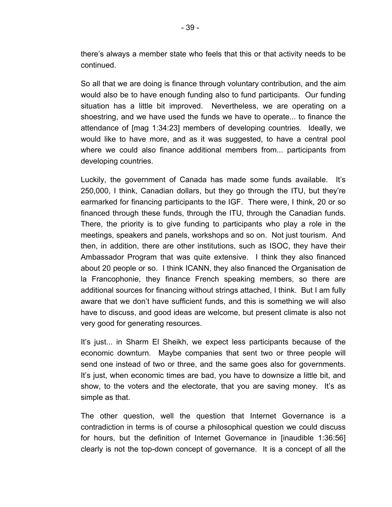there's always a member state who feels that this or that activity needs to be continued.

So all that we are doing is finance through voluntary contribution, and the aim would also be to have enough funding also to fund participants. Our funding situation has a little bit improved. Nevertheless, we are operating on a shoestring, and we have used the funds we have to operate... to finance the attendance of [mag 1:34:23] members of developing countries. Ideally, we would like to have more, and as it was suggested, to have a central pool where we could also finance additional members from... participants from developing countries.

Luckily, the government of Canada has made some funds available. It's 250,000, I think, Canadian dollars, but they go through the ITU, but they're earmarked for financing participants to the IGF. There were, I think, 20 or so financed through these funds, through the ITU, through the Canadian funds. There, the priority is to give funding to participants who play a role in the meetings, speakers and panels, workshops and so on. Not just tourism. And then, in addition, there are other institutions, such as ISOC, they have their Ambassador Program that was quite extensive. I think they also financed about 20 people or so. I think ICANN, they also financed the Organisation de la Francophonie, they finance French speaking members, so there are additional sources for financing without strings attached, I think. But I am fully aware that we don't have sufficient funds, and this is something we will also have to discuss, and good ideas are welcome, but present climate is also not very good for generating resources.

It's just... in Sharm El Sheikh, we expect less participants because of the economic downturn. Maybe companies that sent two or three people will send one instead of two or three, and the same goes also for governments. It's just, when economic times are bad, you have to downsize a little bit, and show, to the voters and the electorate, that you are saving money. It's as simple as that.

The other question, well the question that Internet Governance is a contradiction in terms is of course a philosophical question we could discuss for hours, but the definition of Internet Governance in [inaudible 1:36:56] clearly is not the top-down concept of governance. It is a concept of all the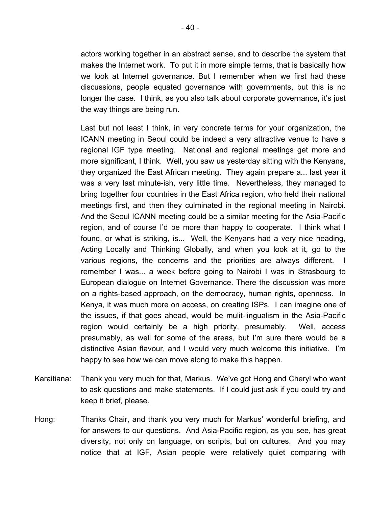actors working together in an abstract sense, and to describe the system that makes the Internet work. To put it in more simple terms, that is basically how we look at Internet governance. But I remember when we first had these discussions, people equated governance with governments, but this is no longer the case. I think, as you also talk about corporate governance, it's just the way things are being run.

Last but not least I think, in very concrete terms for your organization, the ICANN meeting in Seoul could be indeed a very attractive venue to have a regional IGF type meeting. National and regional meetings get more and more significant, I think. Well, you saw us yesterday sitting with the Kenyans, they organized the East African meeting. They again prepare a... last year it was a very last minute-ish, very little time. Nevertheless, they managed to bring together four countries in the East Africa region, who held their national meetings first, and then they culminated in the regional meeting in Nairobi. And the Seoul ICANN meeting could be a similar meeting for the Asia-Pacific region, and of course I'd be more than happy to cooperate. I think what I found, or what is striking, is... Well, the Kenyans had a very nice heading, Acting Locally and Thinking Globally, and when you look at it, go to the various regions, the concerns and the priorities are always different. I remember I was... a week before going to Nairobi I was in Strasbourg to European dialogue on Internet Governance. There the discussion was more on a rights-based approach, on the democracy, human rights, openness. In Kenya, it was much more on access, on creating ISPs. I can imagine one of the issues, if that goes ahead, would be mulit-lingualism in the Asia-Pacific region would certainly be a high priority, presumably. Well, access presumably, as well for some of the areas, but I'm sure there would be a distinctive Asian flavour, and I would very much welcome this initiative. I'm happy to see how we can move along to make this happen.

- Karaitiana: Thank you very much for that, Markus. We've got Hong and Cheryl who want to ask questions and make statements. If I could just ask if you could try and keep it brief, please.
- Hong: Thanks Chair, and thank you very much for Markus' wonderful briefing, and for answers to our questions. And Asia-Pacific region, as you see, has great diversity, not only on language, on scripts, but on cultures. And you may notice that at IGF, Asian people were relatively quiet comparing with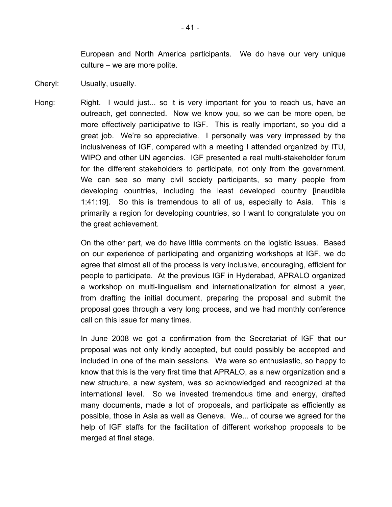European and North America participants. We do have our very unique culture – we are more polite.

- Cheryl: Usually, usually.
- Hong: Right. I would just... so it is very important for you to reach us, have an outreach, get connected. Now we know you, so we can be more open, be more effectively participative to IGF. This is really important, so you did a great job. We're so appreciative. I personally was very impressed by the inclusiveness of IGF, compared with a meeting I attended organized by ITU, WIPO and other UN agencies. IGF presented a real multi-stakeholder forum for the different stakeholders to participate, not only from the government. We can see so many civil society participants, so many people from developing countries, including the least developed country [inaudible 1:41:19]. So this is tremendous to all of us, especially to Asia. This is primarily a region for developing countries, so I want to congratulate you on the great achievement.

On the other part, we do have little comments on the logistic issues. Based on our experience of participating and organizing workshops at IGF, we do agree that almost all of the process is very inclusive, encouraging, efficient for people to participate. At the previous IGF in Hyderabad, APRALO organized a workshop on multi-lingualism and internationalization for almost a year, from drafting the initial document, preparing the proposal and submit the proposal goes through a very long process, and we had monthly conference call on this issue for many times.

In June 2008 we got a confirmation from the Secretariat of IGF that our proposal was not only kindly accepted, but could possibly be accepted and included in one of the main sessions. We were so enthusiastic, so happy to know that this is the very first time that APRALO, as a new organization and a new structure, a new system, was so acknowledged and recognized at the international level. So we invested tremendous time and energy, drafted many documents, made a lot of proposals, and participate as efficiently as possible, those in Asia as well as Geneva. We... of course we agreed for the help of IGF staffs for the facilitation of different workshop proposals to be merged at final stage.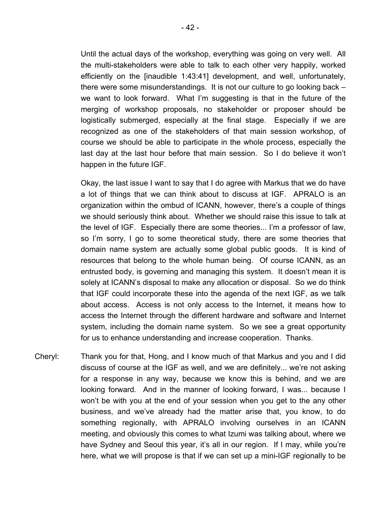Until the actual days of the workshop, everything was going on very well. All the multi-stakeholders were able to talk to each other very happily, worked efficiently on the [inaudible 1:43:41] development, and well, unfortunately, there were some misunderstandings. It is not our culture to go looking back – we want to look forward. What I'm suggesting is that in the future of the merging of workshop proposals, no stakeholder or proposer should be logistically submerged, especially at the final stage. Especially if we are recognized as one of the stakeholders of that main session workshop, of course we should be able to participate in the whole process, especially the last day at the last hour before that main session. So I do believe it won't happen in the future IGF.

Okay, the last issue I want to say that I do agree with Markus that we do have a lot of things that we can think about to discuss at IGF. APRALO is an organization within the ombud of ICANN, however, there's a couple of things we should seriously think about. Whether we should raise this issue to talk at the level of IGF. Especially there are some theories... I'm a professor of law, so I'm sorry, I go to some theoretical study, there are some theories that domain name system are actually some global public goods. It is kind of resources that belong to the whole human being. Of course ICANN, as an entrusted body, is governing and managing this system. It doesn't mean it is solely at ICANN's disposal to make any allocation or disposal. So we do think that IGF could incorporate these into the agenda of the next IGF, as we talk about access. Access is not only access to the Internet, it means how to access the Internet through the different hardware and software and Internet system, including the domain name system. So we see a great opportunity for us to enhance understanding and increase cooperation. Thanks.

Cheryl: Thank you for that, Hong, and I know much of that Markus and you and I did discuss of course at the IGF as well, and we are definitely... we're not asking for a response in any way, because we know this is behind, and we are looking forward. And in the manner of looking forward, I was... because I won't be with you at the end of your session when you get to the any other business, and we've already had the matter arise that, you know, to do something regionally, with APRALO involving ourselves in an ICANN meeting, and obviously this comes to what Izumi was talking about, where we have Sydney and Seoul this year, it's all in our region. If I may, while you're here, what we will propose is that if we can set up a mini-IGF regionally to be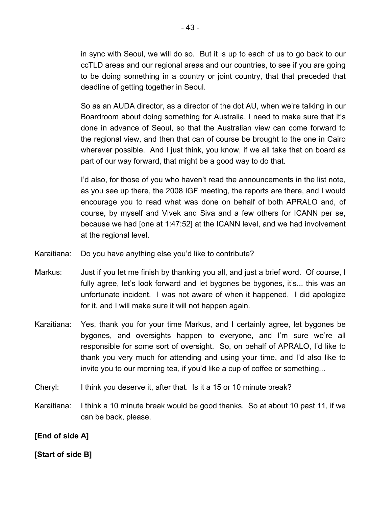in sync with Seoul, we will do so. But it is up to each of us to go back to our ccTLD areas and our regional areas and our countries, to see if you are going to be doing something in a country or joint country, that that preceded that deadline of getting together in Seoul.

So as an AUDA director, as a director of the dot AU, when we're talking in our Boardroom about doing something for Australia, I need to make sure that it's done in advance of Seoul, so that the Australian view can come forward to the regional view, and then that can of course be brought to the one in Cairo wherever possible. And I just think, you know, if we all take that on board as part of our way forward, that might be a good way to do that.

I'd also, for those of you who haven't read the announcements in the list note, as you see up there, the 2008 IGF meeting, the reports are there, and I would encourage you to read what was done on behalf of both APRALO and, of course, by myself and Vivek and Siva and a few others for ICANN per se, because we had [one at 1:47:52] at the ICANN level, and we had involvement at the regional level.

- Karaitiana: Do you have anything else you'd like to contribute?
- Markus: Just if you let me finish by thanking you all, and just a brief word. Of course, I fully agree, let's look forward and let bygones be bygones, it's... this was an unfortunate incident. I was not aware of when it happened. I did apologize for it, and I will make sure it will not happen again.
- Karaitiana: Yes, thank you for your time Markus, and I certainly agree, let bygones be bygones, and oversights happen to everyone, and I'm sure we're all responsible for some sort of oversight. So, on behalf of APRALO, I'd like to thank you very much for attending and using your time, and I'd also like to invite you to our morning tea, if you'd like a cup of coffee or something...
- Cheryl: I think you deserve it, after that. Is it a 15 or 10 minute break?
- Karaitiana: I think a 10 minute break would be good thanks. So at about 10 past 11, if we can be back, please.

**[End of side A]**

## **[Start of side B]**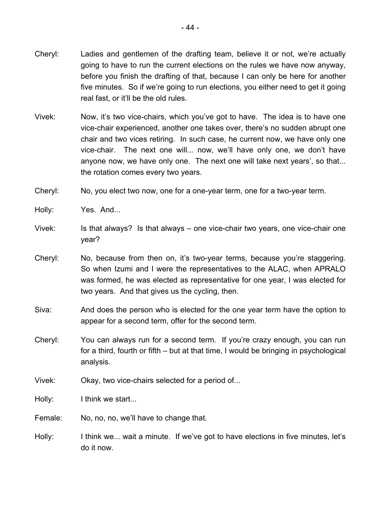- Cheryl: Ladies and gentlemen of the drafting team, believe it or not, we're actually going to have to run the current elections on the rules we have now anyway, before you finish the drafting of that, because I can only be here for another five minutes. So if we're going to run elections, you either need to get it going real fast, or it'll be the old rules.
- Vivek: Now, it's two vice-chairs, which you've got to have. The idea is to have one vice-chair experienced, another one takes over, there's no sudden abrupt one chair and two vices retiring. In such case, he current now, we have only one vice-chair. The next one will... now, we'll have only one, we don't have anyone now, we have only one. The next one will take next years', so that... the rotation comes every two years.
- Cheryl: No, you elect two now, one for a one-year term, one for a two-year term.
- Holly: Yes. And...
- Vivek: Is that always? Is that always one vice-chair two years, one vice-chair one year?
- Cheryl: No, because from then on, it's two-year terms, because you're staggering. So when Izumi and I were the representatives to the ALAC, when APRALO was formed, he was elected as representative for one year, I was elected for two years. And that gives us the cycling, then.
- Siva: And does the person who is elected for the one year term have the option to appear for a second term, offer for the second term.
- Cheryl: You can always run for a second term. If you're crazy enough, you can run for a third, fourth or fifth – but at that time, I would be bringing in psychological analysis.
- Vivek: Okay, two vice-chairs selected for a period of...
- Holly: I think we start...
- Female: No, no, no, we'll have to change that.
- Holly: I think we... wait a minute. If we've got to have elections in five minutes, let's do it now.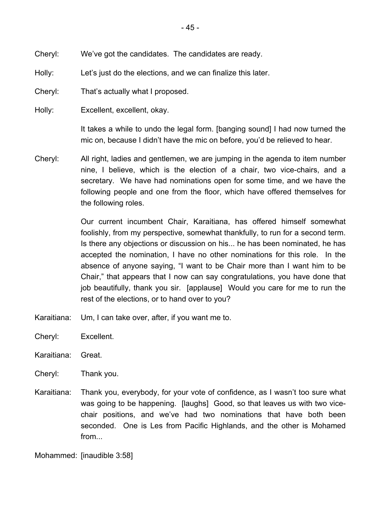Holly: Let's just do the elections, and we can finalize this later.

Cheryl: That's actually what I proposed.

Holly: Excellent, excellent, okay.

It takes a while to undo the legal form. [banging sound] I had now turned the mic on, because I didn't have the mic on before, you'd be relieved to hear.

Cheryl: All right, ladies and gentlemen, we are jumping in the agenda to item number nine, I believe, which is the election of a chair, two vice-chairs, and a secretary. We have had nominations open for some time, and we have the following people and one from the floor, which have offered themselves for the following roles.

> Our current incumbent Chair, Karaitiana, has offered himself somewhat foolishly, from my perspective, somewhat thankfully, to run for a second term. Is there any objections or discussion on his... he has been nominated, he has accepted the nomination, I have no other nominations for this role. In the absence of anyone saying, "I want to be Chair more than I want him to be Chair," that appears that I now can say congratulations, you have done that job beautifully, thank you sir. [applause] Would you care for me to run the rest of the elections, or to hand over to you?

- Karaitiana: Um, I can take over, after, if you want me to.
- Cheryl: Excellent.
- Karaitiana: Great.
- Cheryl: Thank you.
- Karaitiana: Thank you, everybody, for your vote of confidence, as I wasn't too sure what was going to be happening. [laughs] Good, so that leaves us with two vicechair positions, and we've had two nominations that have both been seconded. One is Les from Pacific Highlands, and the other is Mohamed from...

Mohammed: [inaudible 3:58]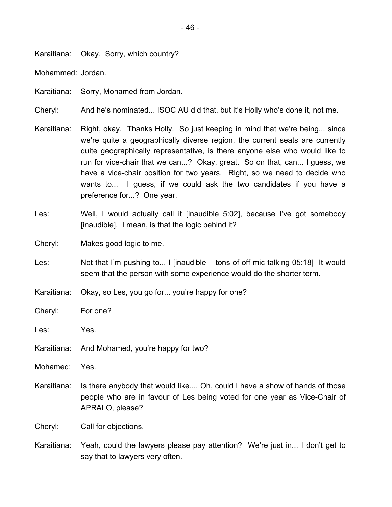Karaitiana: Okay. Sorry, which country?

Mohammed: Jordan.

Karaitiana: Sorry, Mohamed from Jordan.

Cheryl: And he's nominated... ISOC AU did that, but it's Holly who's done it, not me.

- Karaitiana: Right, okay. Thanks Holly. So just keeping in mind that we're being... since we're quite a geographically diverse region, the current seats are currently quite geographically representative, is there anyone else who would like to run for vice-chair that we can...? Okay, great. So on that, can... I guess, we have a vice-chair position for two years. Right, so we need to decide who wants to... I guess, if we could ask the two candidates if you have a preference for...? One year.
- Les: Well, I would actually call it [inaudible 5:02], because I've got somebody [inaudible]. I mean, is that the logic behind it?
- Cheryl: Makes good logic to me.
- Les: Not that I'm pushing to... I [inaudible tons of off mic talking 05:18] It would seem that the person with some experience would do the shorter term.
- Karaitiana: Okay, so Les, you go for... you're happy for one?
- Cheryl: For one?
- Les: Yes.
- Karaitiana: And Mohamed, you're happy for two?
- Mohamed: Yes.
- Karaitiana: Is there anybody that would like.... Oh, could I have a show of hands of those people who are in favour of Les being voted for one year as Vice-Chair of APRALO, please?

Cheryl: Call for objections.

Karaitiana: Yeah, could the lawyers please pay attention? We're just in... I don't get to say that to lawyers very often.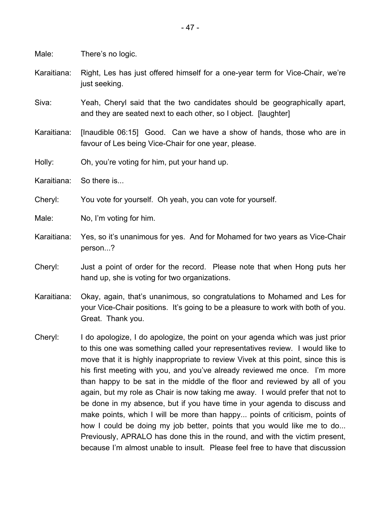Male: There's no logic.

- Karaitiana: Right, Les has just offered himself for a one-year term for Vice-Chair, we're just seeking.
- Siva: Yeah, Cheryl said that the two candidates should be geographically apart, and they are seated next to each other, so I object. [laughter]
- Karaitiana: [Inaudible 06:15] Good. Can we have a show of hands, those who are in favour of Les being Vice-Chair for one year, please.
- Holly: Oh, you're voting for him, put your hand up.
- Karaitiana: So there is...
- Cheryl: You vote for yourself. Oh yeah, you can vote for yourself.
- Male: No, I'm voting for him.
- Karaitiana: Yes, so it's unanimous for yes. And for Mohamed for two years as Vice-Chair person...?
- Cheryl: Just a point of order for the record. Please note that when Hong puts her hand up, she is voting for two organizations.
- Karaitiana: Okay, again, that's unanimous, so congratulations to Mohamed and Les for your Vice-Chair positions. It's going to be a pleasure to work with both of you. Great. Thank you.
- Cheryl: I do apologize, I do apologize, the point on your agenda which was just prior to this one was something called your representatives review. I would like to move that it is highly inappropriate to review Vivek at this point, since this is his first meeting with you, and you've already reviewed me once. I'm more than happy to be sat in the middle of the floor and reviewed by all of you again, but my role as Chair is now taking me away. I would prefer that not to be done in my absence, but if you have time in your agenda to discuss and make points, which I will be more than happy... points of criticism, points of how I could be doing my job better, points that you would like me to do... Previously, APRALO has done this in the round, and with the victim present, because I'm almost unable to insult. Please feel free to have that discussion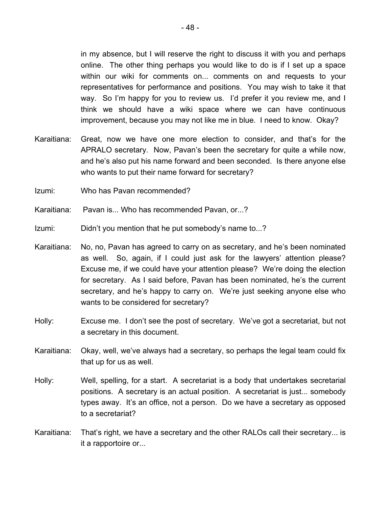in my absence, but I will reserve the right to discuss it with you and perhaps online. The other thing perhaps you would like to do is if I set up a space within our wiki for comments on... comments on and requests to your representatives for performance and positions. You may wish to take it that way. So I'm happy for you to review us. I'd prefer it you review me, and I think we should have a wiki space where we can have continuous improvement, because you may not like me in blue. I need to know. Okay?

- Karaitiana: Great, now we have one more election to consider, and that's for the APRALO secretary. Now, Pavan's been the secretary for quite a while now, and he's also put his name forward and been seconded. Is there anyone else who wants to put their name forward for secretary?
- Izumi: Who has Pavan recommended?
- Karaitiana: Pavan is... Who has recommended Pavan, or...?
- Izumi: Didn't you mention that he put somebody's name to...?
- Karaitiana: No, no, Pavan has agreed to carry on as secretary, and he's been nominated as well. So, again, if I could just ask for the lawyers' attention please? Excuse me, if we could have your attention please? We're doing the election for secretary. As I said before, Pavan has been nominated, he's the current secretary, and he's happy to carry on. We're just seeking anyone else who wants to be considered for secretary?
- Holly: Excuse me. I don't see the post of secretary. We've got a secretariat, but not a secretary in this document.
- Karaitiana: Okay, well, we've always had a secretary, so perhaps the legal team could fix that up for us as well.
- Holly: Well, spelling, for a start. A secretariat is a body that undertakes secretarial positions. A secretary is an actual position. A secretariat is just... somebody types away. It's an office, not a person. Do we have a secretary as opposed to a secretariat?
- Karaitiana: That's right, we have a secretary and the other RALOs call their secretary... is it a rapportoire or...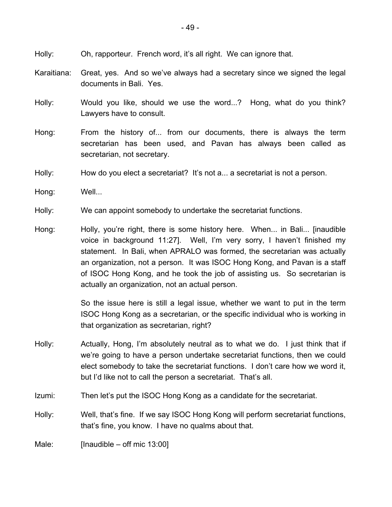- Holly: Oh, rapporteur. French word, it's all right. We can ignore that.
- Karaitiana: Great, yes. And so we've always had a secretary since we signed the legal documents in Bali. Yes.
- Holly: Would you like, should we use the word...? Hong, what do you think? Lawyers have to consult.
- Hong: From the history of... from our documents, there is always the term secretarian has been used, and Pavan has always been called as secretarian, not secretary.
- Holly: How do you elect a secretariat? It's not a... a secretariat is not a person.
- Hong: Well...
- Holly: We can appoint somebody to undertake the secretariat functions.
- Hong: Holly, you're right, there is some history here. When... in Bali... [inaudible voice in background 11:27]. Well, I'm very sorry, I haven't finished my statement. In Bali, when APRALO was formed, the secretarian was actually an organization, not a person. It was ISOC Hong Kong, and Pavan is a staff of ISOC Hong Kong, and he took the job of assisting us. So secretarian is actually an organization, not an actual person.

So the issue here is still a legal issue, whether we want to put in the term ISOC Hong Kong as a secretarian, or the specific individual who is working in that organization as secretarian, right?

- Holly: Actually, Hong, I'm absolutely neutral as to what we do. I just think that if we're going to have a person undertake secretariat functions, then we could elect somebody to take the secretariat functions. I don't care how we word it, but I'd like not to call the person a secretariat. That's all.
- Izumi: Then let's put the ISOC Hong Kong as a candidate for the secretariat.
- Holly: Well, that's fine. If we say ISOC Hong Kong will perform secretariat functions, that's fine, you know. I have no qualms about that.

Male: [Inaudible – off mic 13:00]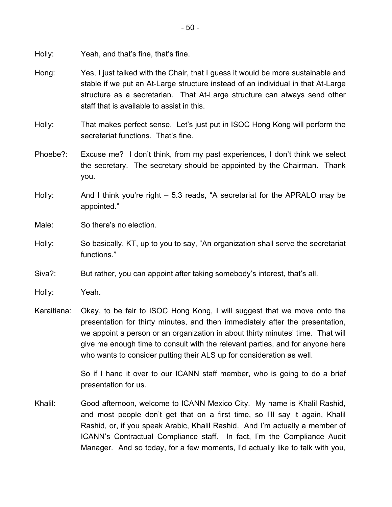Holly: Yeah, and that's fine, that's fine.

- Hong: Yes, I just talked with the Chair, that I guess it would be more sustainable and stable if we put an At-Large structure instead of an individual in that At-Large structure as a secretarian. That At-Large structure can always send other staff that is available to assist in this.
- Holly: That makes perfect sense. Let's just put in ISOC Hong Kong will perform the secretariat functions. That's fine.
- Phoebe?: Excuse me? I don't think, from my past experiences, I don't think we select the secretary. The secretary should be appointed by the Chairman. Thank you.
- Holly: And I think you're right 5.3 reads, "A secretariat for the APRALO may be appointed."
- Male: So there's no election.
- Holly: So basically, KT, up to you to say, "An organization shall serve the secretariat functions."
- Siva?: But rather, you can appoint after taking somebody's interest, that's all.
- Holly: Yeah.
- Karaitiana: Okay, to be fair to ISOC Hong Kong, I will suggest that we move onto the presentation for thirty minutes, and then immediately after the presentation, we appoint a person or an organization in about thirty minutes' time. That will give me enough time to consult with the relevant parties, and for anyone here who wants to consider putting their ALS up for consideration as well.

So if I hand it over to our ICANN staff member, who is going to do a brief presentation for us.

Khalil: Good afternoon, welcome to ICANN Mexico City. My name is Khalil Rashid, and most people don't get that on a first time, so I'll say it again, Khalil Rashid, or, if you speak Arabic, Khalil Rashid. And I'm actually a member of ICANN's Contractual Compliance staff. In fact, I'm the Compliance Audit Manager. And so today, for a few moments, I'd actually like to talk with you,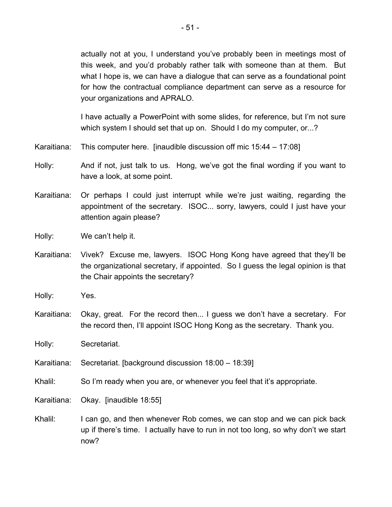actually not at you, I understand you've probably been in meetings most of this week, and you'd probably rather talk with someone than at them. But what I hope is, we can have a dialogue that can serve as a foundational point for how the contractual compliance department can serve as a resource for your organizations and APRALO.

I have actually a PowerPoint with some slides, for reference, but I'm not sure which system I should set that up on. Should I do my computer, or...?

- Karaitiana: This computer here. [inaudible discussion off mic 15:44 17:08]
- Holly: And if not, just talk to us. Hong, we've got the final wording if you want to have a look, at some point.
- Karaitiana: Or perhaps I could just interrupt while we're just waiting, regarding the appointment of the secretary. ISOC... sorry, lawyers, could I just have your attention again please?
- Holly: We can't help it.
- Karaitiana: Vivek? Excuse me, lawyers. ISOC Hong Kong have agreed that they'll be the organizational secretary, if appointed. So I guess the legal opinion is that the Chair appoints the secretary?
- Holly: Yes.
- Karaitiana: Okay, great. For the record then... I guess we don't have a secretary. For the record then, I'll appoint ISOC Hong Kong as the secretary. Thank you.

Holly: Secretariat.

Karaitiana: Secretariat. [background discussion 18:00 – 18:39]

Khalil: So I'm ready when you are, or whenever you feel that it's appropriate.

- Karaitiana: Okay. [inaudible 18:55]
- Khalil: I can go, and then whenever Rob comes, we can stop and we can pick back up if there's time. I actually have to run in not too long, so why don't we start now?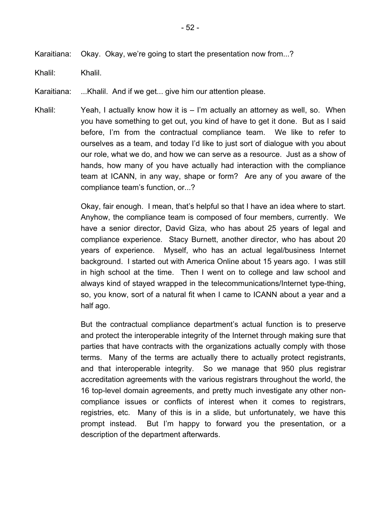Karaitiana: Okay. Okay, we're going to start the presentation now from...?

Khalil: Khalil.

Karaitiana: ...Khalil. And if we get... give him our attention please.

Khalil: Yeah, I actually know how it is – I'm actually an attorney as well, so. When you have something to get out, you kind of have to get it done. But as I said before, I'm from the contractual compliance team. We like to refer to ourselves as a team, and today I'd like to just sort of dialogue with you about our role, what we do, and how we can serve as a resource. Just as a show of hands, how many of you have actually had interaction with the compliance team at ICANN, in any way, shape or form? Are any of you aware of the compliance team's function, or...?

> Okay, fair enough. I mean, that's helpful so that I have an idea where to start. Anyhow, the compliance team is composed of four members, currently. We have a senior director, David Giza, who has about 25 years of legal and compliance experience. Stacy Burnett, another director, who has about 20 years of experience. Myself, who has an actual legal/business Internet background. I started out with America Online about 15 years ago. I was still in high school at the time. Then I went on to college and law school and always kind of stayed wrapped in the telecommunications/Internet type-thing, so, you know, sort of a natural fit when I came to ICANN about a year and a half ago.

> But the contractual compliance department's actual function is to preserve and protect the interoperable integrity of the Internet through making sure that parties that have contracts with the organizations actually comply with those terms. Many of the terms are actually there to actually protect registrants, and that interoperable integrity. So we manage that 950 plus registrar accreditation agreements with the various registrars throughout the world, the 16 top-level domain agreements, and pretty much investigate any other noncompliance issues or conflicts of interest when it comes to registrars, registries, etc. Many of this is in a slide, but unfortunately, we have this prompt instead. But I'm happy to forward you the presentation, or a description of the department afterwards.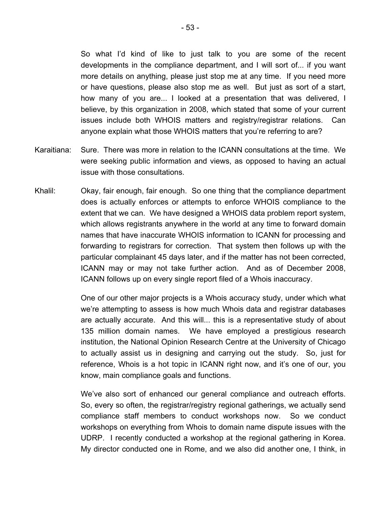So what I'd kind of like to just talk to you are some of the recent developments in the compliance department, and I will sort of... if you want more details on anything, please just stop me at any time. If you need more or have questions, please also stop me as well. But just as sort of a start, how many of you are... I looked at a presentation that was delivered, I believe, by this organization in 2008, which stated that some of your current issues include both WHOIS matters and registry/registrar relations. Can anyone explain what those WHOIS matters that you're referring to are?

- Karaitiana: Sure. There was more in relation to the ICANN consultations at the time. We were seeking public information and views, as opposed to having an actual issue with those consultations.
- Khalil: Okay, fair enough, fair enough. So one thing that the compliance department does is actually enforces or attempts to enforce WHOIS compliance to the extent that we can. We have designed a WHOIS data problem report system, which allows registrants anywhere in the world at any time to forward domain names that have inaccurate WHOIS information to ICANN for processing and forwarding to registrars for correction. That system then follows up with the particular complainant 45 days later, and if the matter has not been corrected, ICANN may or may not take further action. And as of December 2008, ICANN follows up on every single report filed of a Whois inaccuracy.

One of our other major projects is a Whois accuracy study, under which what we're attempting to assess is how much Whois data and registrar databases are actually accurate. And this will... this is a representative study of about 135 million domain names. We have employed a prestigious research institution, the National Opinion Research Centre at the University of Chicago to actually assist us in designing and carrying out the study. So, just for reference, Whois is a hot topic in ICANN right now, and it's one of our, you know, main compliance goals and functions.

We've also sort of enhanced our general compliance and outreach efforts. So, every so often, the registrar/registry regional gatherings, we actually send compliance staff members to conduct workshops now. So we conduct workshops on everything from Whois to domain name dispute issues with the UDRP. I recently conducted a workshop at the regional gathering in Korea. My director conducted one in Rome, and we also did another one, I think, in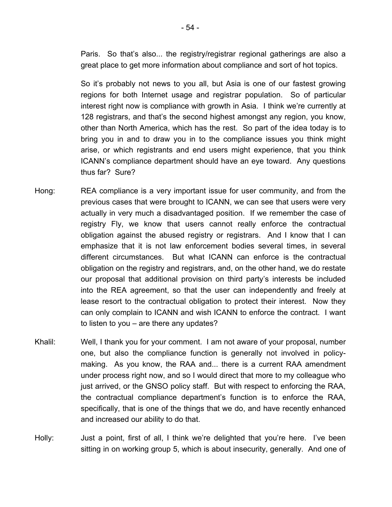Paris. So that's also... the registry/registrar regional gatherings are also a great place to get more information about compliance and sort of hot topics.

So it's probably not news to you all, but Asia is one of our fastest growing regions for both Internet usage and registrar population. So of particular interest right now is compliance with growth in Asia. I think we're currently at 128 registrars, and that's the second highest amongst any region, you know, other than North America, which has the rest. So part of the idea today is to bring you in and to draw you in to the compliance issues you think might arise, or which registrants and end users might experience, that you think ICANN's compliance department should have an eye toward. Any questions thus far? Sure?

- Hong: REA compliance is a very important issue for user community, and from the previous cases that were brought to ICANN, we can see that users were very actually in very much a disadvantaged position. If we remember the case of registry Fly, we know that users cannot really enforce the contractual obligation against the abused registry or registrars. And I know that I can emphasize that it is not law enforcement bodies several times, in several different circumstances. But what ICANN can enforce is the contractual obligation on the registry and registrars, and, on the other hand, we do restate our proposal that additional provision on third party's interests be included into the REA agreement, so that the user can independently and freely at lease resort to the contractual obligation to protect their interest. Now they can only complain to ICANN and wish ICANN to enforce the contract. I want to listen to you – are there any updates?
- Khalil: Well, I thank you for your comment. I am not aware of your proposal, number one, but also the compliance function is generally not involved in policymaking. As you know, the RAA and... there is a current RAA amendment under process right now, and so I would direct that more to my colleague who just arrived, or the GNSO policy staff. But with respect to enforcing the RAA, the contractual compliance department's function is to enforce the RAA, specifically, that is one of the things that we do, and have recently enhanced and increased our ability to do that.
- Holly: Just a point, first of all, I think we're delighted that you're here. I've been sitting in on working group 5, which is about insecurity, generally. And one of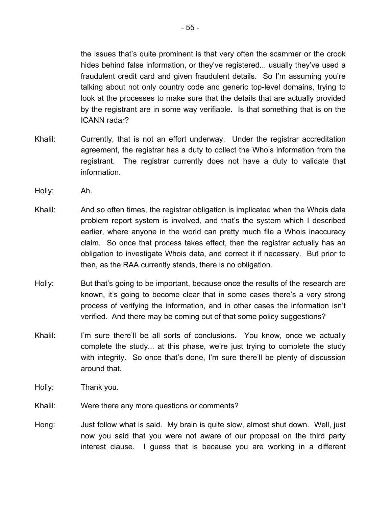the issues that's quite prominent is that very often the scammer or the crook hides behind false information, or they've registered... usually they've used a fraudulent credit card and given fraudulent details. So I'm assuming you're talking about not only country code and generic top-level domains, trying to look at the processes to make sure that the details that are actually provided by the registrant are in some way verifiable. Is that something that is on the ICANN radar?

- Khalil: Currently, that is not an effort underway. Under the registrar accreditation agreement, the registrar has a duty to collect the Whois information from the registrant. The registrar currently does not have a duty to validate that information.
- Holly: Ah.
- Khalil: And so often times, the registrar obligation is implicated when the Whois data problem report system is involved, and that's the system which I described earlier, where anyone in the world can pretty much file a Whois inaccuracy claim. So once that process takes effect, then the registrar actually has an obligation to investigate Whois data, and correct it if necessary. But prior to then, as the RAA currently stands, there is no obligation.
- Holly: But that's going to be important, because once the results of the research are known, it's going to become clear that in some cases there's a very strong process of verifying the information, and in other cases the information isn't verified. And there may be coming out of that some policy suggestions?
- Khalil: I'm sure there'll be all sorts of conclusions. You know, once we actually complete the study... at this phase, we're just trying to complete the study with integrity. So once that's done, I'm sure there'll be plenty of discussion around that.
- Holly: Thank you.
- Khalil: Were there any more questions or comments?
- Hong: Just follow what is said. My brain is quite slow, almost shut down. Well, just now you said that you were not aware of our proposal on the third party interest clause. I guess that is because you are working in a different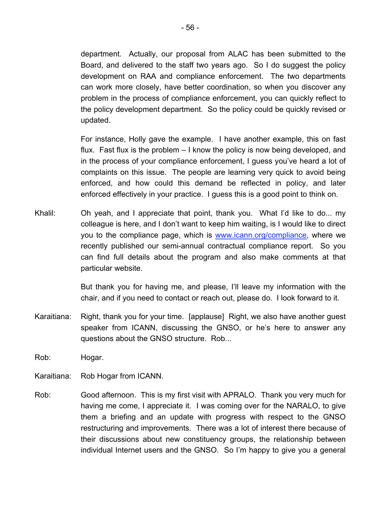department. Actually, our proposal from ALAC has been submitted to the Board, and delivered to the staff two years ago. So I do suggest the policy development on RAA and compliance enforcement. The two departments can work more closely, have better coordination, so when you discover any problem in the process of compliance enforcement, you can quickly reflect to the policy development department. So the policy could be quickly revised or updated.

For instance, Holly gave the example. I have another example, this on fast flux. Fast flux is the problem – I know the policy is now being developed, and in the process of your compliance enforcement, I guess you've heard a lot of complaints on this issue. The people are learning very quick to avoid being enforced, and how could this demand be reflected in policy, and later enforced effectively in your practice. I guess this is a good point to think on.

Khalil: Oh yeah, and I appreciate that point, thank you. What I'd like to do... my colleague is here, and I don't want to keep him waiting, is I would like to direct you to the compliance page, which is www.icann.org/compliance, where we recently published our semi-annual contractual compliance report. So you can find full details about the program and also make comments at that particular website.

> But thank you for having me, and please, I'll leave my information with the chair, and if you need to contact or reach out, please do. I look forward to it.

- Karaitiana: Right, thank you for your time. [applause] Right, we also have another guest speaker from ICANN, discussing the GNSO, or he's here to answer any questions about the GNSO structure. Rob...
- Rob: Hogar.
- Karaitiana: Rob Hogar from ICANN.
- Rob: Good afternoon. This is my first visit with APRALO. Thank you very much for having me come, I appreciate it. I was coming over for the NARALO, to give them a briefing and an update with progress with respect to the GNSO restructuring and improvements. There was a lot of interest there because of their discussions about new constituency groups, the relationship between individual Internet users and the GNSO. So I'm happy to give you a general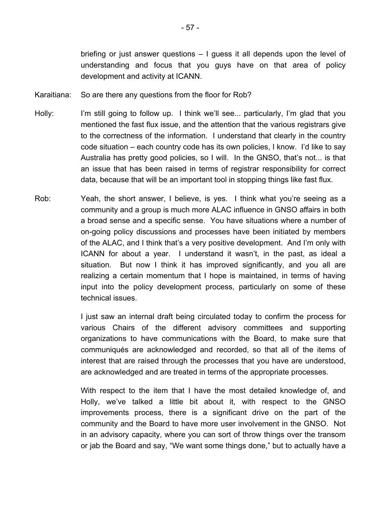briefing or just answer questions – I guess it all depends upon the level of understanding and focus that you guys have on that area of policy development and activity at ICANN.

- Karaitiana: So are there any questions from the floor for Rob?
- Holly: I'm still going to follow up. I think we'll see... particularly, I'm glad that you mentioned the fast flux issue, and the attention that the various registrars give to the correctness of the information. I understand that clearly in the country code situation – each country code has its own policies, I know. I'd like to say Australia has pretty good policies, so I will. In the GNSO, that's not... is that an issue that has been raised in terms of registrar responsibility for correct data, because that will be an important tool in stopping things like fast flux.
- Rob: Yeah, the short answer, I believe, is yes. I think what you're seeing as a community and a group is much more ALAC influence in GNSO affairs in both a broad sense and a specific sense. You have situations where a number of on-going policy discussions and processes have been initiated by members of the ALAC, and I think that's a very positive development. And I'm only with ICANN for about a year. I understand it wasn't, in the past, as ideal a situation. But now I think it has improved significantly, and you all are realizing a certain momentum that I hope is maintained, in terms of having input into the policy development process, particularly on some of these technical issues.

I just saw an internal draft being circulated today to confirm the process for various Chairs of the different advisory committees and supporting organizations to have communications with the Board, to make sure that communiqués are acknowledged and recorded, so that all of the items of interest that are raised through the processes that you have are understood, are acknowledged and are treated in terms of the appropriate processes.

With respect to the item that I have the most detailed knowledge of, and Holly, we've talked a little bit about it, with respect to the GNSO improvements process, there is a significant drive on the part of the community and the Board to have more user involvement in the GNSO. Not in an advisory capacity, where you can sort of throw things over the transom or jab the Board and say, "We want some things done," but to actually have a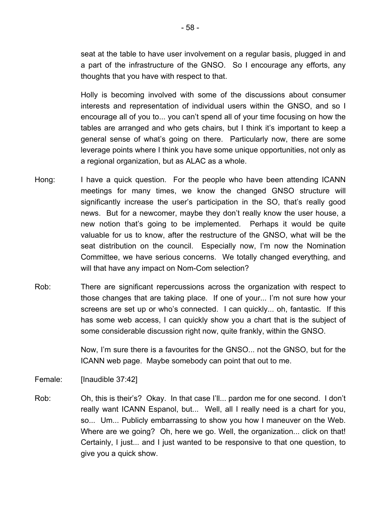seat at the table to have user involvement on a regular basis, plugged in and a part of the infrastructure of the GNSO. So I encourage any efforts, any thoughts that you have with respect to that.

Holly is becoming involved with some of the discussions about consumer interests and representation of individual users within the GNSO, and so I encourage all of you to... you can't spend all of your time focusing on how the tables are arranged and who gets chairs, but I think it's important to keep a general sense of what's going on there. Particularly now, there are some leverage points where I think you have some unique opportunities, not only as a regional organization, but as ALAC as a whole.

- Hong: I have a quick question. For the people who have been attending ICANN meetings for many times, we know the changed GNSO structure will significantly increase the user's participation in the SO, that's really good news. But for a newcomer, maybe they don't really know the user house, a new notion that's going to be implemented. Perhaps it would be quite valuable for us to know, after the restructure of the GNSO, what will be the seat distribution on the council. Especially now, I'm now the Nomination Committee, we have serious concerns. We totally changed everything, and will that have any impact on Nom-Com selection?
- Rob: There are significant repercussions across the organization with respect to those changes that are taking place. If one of your... I'm not sure how your screens are set up or who's connected. I can quickly... oh, fantastic. If this has some web access, I can quickly show you a chart that is the subject of some considerable discussion right now, quite frankly, within the GNSO.

Now, I'm sure there is a favourites for the GNSO... not the GNSO, but for the ICANN web page. Maybe somebody can point that out to me.

Female: [Inaudible 37:42]

Rob: Oh, this is their's? Okay. In that case I'll... pardon me for one second. I don't really want ICANN Espanol, but... Well, all I really need is a chart for you, so... Um... Publicly embarrassing to show you how I maneuver on the Web. Where are we going? Oh, here we go. Well, the organization... click on that! Certainly, I just... and I just wanted to be responsive to that one question, to give you a quick show.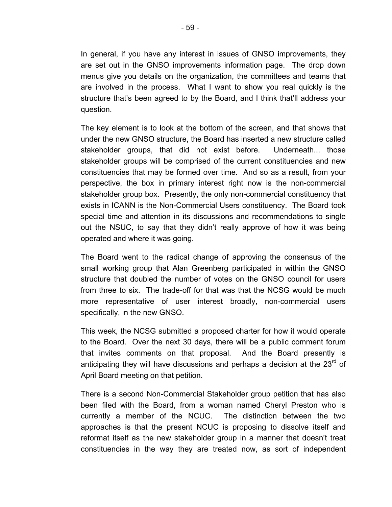In general, if you have any interest in issues of GNSO improvements, they are set out in the GNSO improvements information page. The drop down menus give you details on the organization, the committees and teams that are involved in the process. What I want to show you real quickly is the structure that's been agreed to by the Board, and I think that'll address your question.

The key element is to look at the bottom of the screen, and that shows that under the new GNSO structure, the Board has inserted a new structure called stakeholder groups, that did not exist before. Underneath... those stakeholder groups will be comprised of the current constituencies and new constituencies that may be formed over time. And so as a result, from your perspective, the box in primary interest right now is the non-commercial stakeholder group box. Presently, the only non-commercial constituency that exists in ICANN is the Non-Commercial Users constituency. The Board took special time and attention in its discussions and recommendations to single out the NSUC, to say that they didn't really approve of how it was being operated and where it was going.

The Board went to the radical change of approving the consensus of the small working group that Alan Greenberg participated in within the GNSO structure that doubled the number of votes on the GNSO council for users from three to six. The trade-off for that was that the NCSG would be much more representative of user interest broadly, non-commercial users specifically, in the new GNSO.

This week, the NCSG submitted a proposed charter for how it would operate to the Board. Over the next 30 days, there will be a public comment forum that invites comments on that proposal. And the Board presently is anticipating they will have discussions and perhaps a decision at the  $23<sup>rd</sup>$  of April Board meeting on that petition.

There is a second Non-Commercial Stakeholder group petition that has also been filed with the Board, from a woman named Cheryl Preston who is currently a member of the NCUC. The distinction between the two approaches is that the present NCUC is proposing to dissolve itself and reformat itself as the new stakeholder group in a manner that doesn't treat constituencies in the way they are treated now, as sort of independent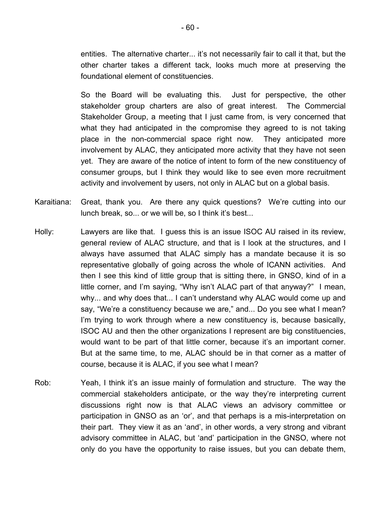entities. The alternative charter... it's not necessarily fair to call it that, but the other charter takes a different tack, looks much more at preserving the foundational element of constituencies.

So the Board will be evaluating this. Just for perspective, the other stakeholder group charters are also of great interest. The Commercial Stakeholder Group, a meeting that I just came from, is very concerned that what they had anticipated in the compromise they agreed to is not taking place in the non-commercial space right now. They anticipated more involvement by ALAC, they anticipated more activity that they have not seen yet. They are aware of the notice of intent to form of the new constituency of consumer groups, but I think they would like to see even more recruitment activity and involvement by users, not only in ALAC but on a global basis.

- Karaitiana: Great, thank you. Are there any quick questions? We're cutting into our lunch break, so... or we will be, so I think it's best...
- Holly: Lawyers are like that. I guess this is an issue ISOC AU raised in its review, general review of ALAC structure, and that is I look at the structures, and I always have assumed that ALAC simply has a mandate because it is so representative globally of going across the whole of ICANN activities. And then I see this kind of little group that is sitting there, in GNSO, kind of in a little corner, and I'm saying, "Why isn't ALAC part of that anyway?" I mean, why... and why does that... I can't understand why ALAC would come up and say, "We're a constituency because we are," and... Do you see what I mean? I'm trying to work through where a new constituency is, because basically, ISOC AU and then the other organizations I represent are big constituencies, would want to be part of that little corner, because it's an important corner. But at the same time, to me, ALAC should be in that corner as a matter of course, because it is ALAC, if you see what I mean?
- Rob: Yeah, I think it's an issue mainly of formulation and structure. The way the commercial stakeholders anticipate, or the way they're interpreting current discussions right now is that ALAC views an advisory committee or participation in GNSO as an 'or', and that perhaps is a mis-interpretation on their part. They view it as an 'and', in other words, a very strong and vibrant advisory committee in ALAC, but 'and' participation in the GNSO, where not only do you have the opportunity to raise issues, but you can debate them,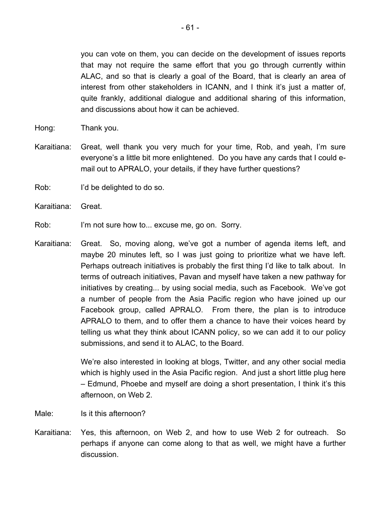you can vote on them, you can decide on the development of issues reports that may not require the same effort that you go through currently within ALAC, and so that is clearly a goal of the Board, that is clearly an area of interest from other stakeholders in ICANN, and I think it's just a matter of, quite frankly, additional dialogue and additional sharing of this information, and discussions about how it can be achieved.

- Hong: Thank you.
- Karaitiana: Great, well thank you very much for your time, Rob, and yeah, I'm sure everyone's a little bit more enlightened. Do you have any cards that I could email out to APRALO, your details, if they have further questions?
- Rob: I'd be delighted to do so.
- Karaitiana: Great.
- Rob: I'm not sure how to... excuse me, go on. Sorry.
- Karaitiana: Great. So, moving along, we've got a number of agenda items left, and maybe 20 minutes left, so I was just going to prioritize what we have left. Perhaps outreach initiatives is probably the first thing I'd like to talk about. In terms of outreach initiatives, Pavan and myself have taken a new pathway for initiatives by creating... by using social media, such as Facebook. We've got a number of people from the Asia Pacific region who have joined up our Facebook group, called APRALO. From there, the plan is to introduce APRALO to them, and to offer them a chance to have their voices heard by telling us what they think about ICANN policy, so we can add it to our policy submissions, and send it to ALAC, to the Board.

We're also interested in looking at blogs, Twitter, and any other social media which is highly used in the Asia Pacific region. And just a short little plug here – Edmund, Phoebe and myself are doing a short presentation, I think it's this afternoon, on Web 2.

- Male: Is it this afternoon?
- Karaitiana: Yes, this afternoon, on Web 2, and how to use Web 2 for outreach. So perhaps if anyone can come along to that as well, we might have a further discussion.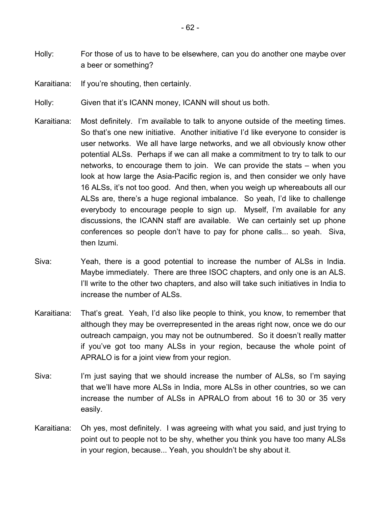- Holly: For those of us to have to be elsewhere, can you do another one maybe over a beer or something?
- Karaitiana: If you're shouting, then certainly.
- Holly: Given that it's ICANN money, ICANN will shout us both.
- Karaitiana: Most definitely. I'm available to talk to anyone outside of the meeting times. So that's one new initiative. Another initiative I'd like everyone to consider is user networks. We all have large networks, and we all obviously know other potential ALSs. Perhaps if we can all make a commitment to try to talk to our networks, to encourage them to join. We can provide the stats – when you look at how large the Asia-Pacific region is, and then consider we only have 16 ALSs, it's not too good. And then, when you weigh up whereabouts all our ALSs are, there's a huge regional imbalance. So yeah, I'd like to challenge everybody to encourage people to sign up. Myself, I'm available for any discussions, the ICANN staff are available. We can certainly set up phone conferences so people don't have to pay for phone calls... so yeah. Siva, then Izumi.
- Siva: Yeah, there is a good potential to increase the number of ALSs in India. Maybe immediately. There are three ISOC chapters, and only one is an ALS. I'll write to the other two chapters, and also will take such initiatives in India to increase the number of ALSs.
- Karaitiana: That's great. Yeah, I'd also like people to think, you know, to remember that although they may be overrepresented in the areas right now, once we do our outreach campaign, you may not be outnumbered. So it doesn't really matter if you've got too many ALSs in your region, because the whole point of APRALO is for a joint view from your region.
- Siva: I'm just saying that we should increase the number of ALSs, so I'm saying that we'll have more ALSs in India, more ALSs in other countries, so we can increase the number of ALSs in APRALO from about 16 to 30 or 35 very easily.
- Karaitiana: Oh yes, most definitely. I was agreeing with what you said, and just trying to point out to people not to be shy, whether you think you have too many ALSs in your region, because... Yeah, you shouldn't be shy about it.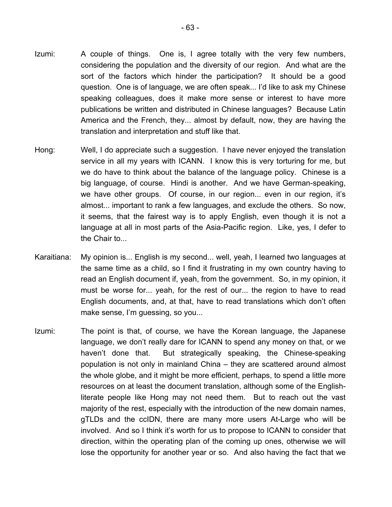- Izumi: A couple of things. One is, I agree totally with the very few numbers, considering the population and the diversity of our region. And what are the sort of the factors which hinder the participation? It should be a good question. One is of language, we are often speak... I'd like to ask my Chinese speaking colleagues, does it make more sense or interest to have more publications be written and distributed in Chinese languages? Because Latin America and the French, they... almost by default, now, they are having the translation and interpretation and stuff like that.
- Hong: Well, I do appreciate such a suggestion. I have never enjoyed the translation service in all my years with ICANN. I know this is very torturing for me, but we do have to think about the balance of the language policy. Chinese is a big language, of course. Hindi is another. And we have German-speaking, we have other groups. Of course, in our region... even in our region, it's almost... important to rank a few languages, and exclude the others. So now, it seems, that the fairest way is to apply English, even though it is not a language at all in most parts of the Asia-Pacific region. Like, yes, I defer to the Chair to...
- Karaitiana: My opinion is... English is my second... well, yeah, I learned two languages at the same time as a child, so I find it frustrating in my own country having to read an English document if, yeah, from the government. So, in my opinion, it must be worse for... yeah, for the rest of our... the region to have to read English documents, and, at that, have to read translations which don't often make sense, I'm guessing, so you...
- Izumi: The point is that, of course, we have the Korean language, the Japanese language, we don't really dare for ICANN to spend any money on that, or we haven't done that. But strategically speaking, the Chinese-speaking population is not only in mainland China – they are scattered around almost the whole globe, and it might be more efficient, perhaps, to spend a little more resources on at least the document translation, although some of the Englishliterate people like Hong may not need them. But to reach out the vast majority of the rest, especially with the introduction of the new domain names, gTLDs and the ccIDN, there are many more users At-Large who will be involved. And so I think it's worth for us to propose to ICANN to consider that direction, within the operating plan of the coming up ones, otherwise we will lose the opportunity for another year or so. And also having the fact that we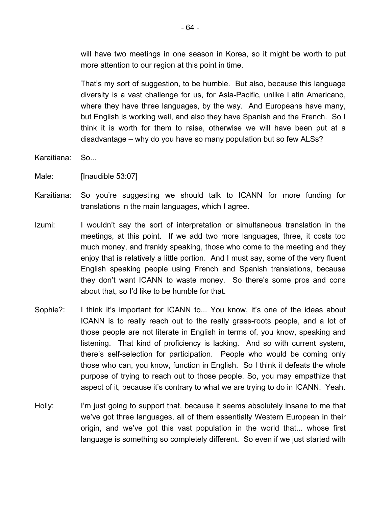will have two meetings in one season in Korea, so it might be worth to put more attention to our region at this point in time.

That's my sort of suggestion, to be humble. But also, because this language diversity is a vast challenge for us, for Asia-Pacific, unlike Latin Americano, where they have three languages, by the way. And Europeans have many, but English is working well, and also they have Spanish and the French. So I think it is worth for them to raise, otherwise we will have been put at a disadvantage – why do you have so many population but so few ALSs?

- Karaitiana: So...
- Male: [Inaudible 53:07]
- Karaitiana: So you're suggesting we should talk to ICANN for more funding for translations in the main languages, which I agree.
- Izumi: I wouldn't say the sort of interpretation or simultaneous translation in the meetings, at this point. If we add two more languages, three, it costs too much money, and frankly speaking, those who come to the meeting and they enjoy that is relatively a little portion. And I must say, some of the very fluent English speaking people using French and Spanish translations, because they don't want ICANN to waste money. So there's some pros and cons about that, so I'd like to be humble for that.
- Sophie?: I think it's important for ICANN to... You know, it's one of the ideas about ICANN is to really reach out to the really grass-roots people, and a lot of those people are not literate in English in terms of, you know, speaking and listening. That kind of proficiency is lacking. And so with current system, there's self-selection for participation. People who would be coming only those who can, you know, function in English. So I think it defeats the whole purpose of trying to reach out to those people. So, you may empathize that aspect of it, because it's contrary to what we are trying to do in ICANN. Yeah.
- Holly: I'm just going to support that, because it seems absolutely insane to me that we've got three languages, all of them essentially Western European in their origin, and we've got this vast population in the world that... whose first language is something so completely different. So even if we just started with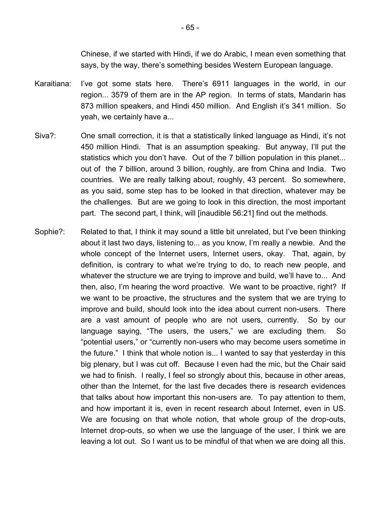Chinese, if we started with Hindi, if we do Arabic, I mean even something that says, by the way, there's something besides Western European language.

- Karaitiana: I've got some stats here. There's 6911 languages in the world, in our region... 3579 of them are in the AP region. In terms of stats, Mandarin has 873 million speakers, and Hindi 450 million. And English it's 341 million. So yeah, we certainly have a...
- Siva?: One small correction, it is that a statistically linked language as Hindi, it's not 450 million Hindi. That is an assumption speaking. But anyway, I'll put the statistics which you don't have. Out of the 7 billion population in this planet... out of the 7 billion, around 3 billion, roughly, are from China and India. Two countries. We are really talking about, roughly, 43 percent. So somewhere, as you said, some step has to be looked in that direction, whatever may be the challenges. But are we going to look in this direction, the most important part. The second part, I think, will [inaudible 56:21] find out the methods.
- Sophie?: Related to that, I think it may sound a little bit unrelated, but I've been thinking about it last two days, listening to... as you know, I'm really a newbie. And the whole concept of the Internet users, Internet users, okay. That, again, by definition, is contrary to what we're trying to do, to reach new people, and whatever the structure we are trying to improve and build, we'll have to... And then, also, I'm hearing the word proactive. We want to be proactive, right? If we want to be proactive, the structures and the system that we are trying to improve and build, should look into the idea about current non-users. There are a vast amount of people who are not users, currently. So by our language saying, "The users, the users," we are excluding them. So "potential users," or "currently non-users who may become users sometime in the future." I think that whole notion is... I wanted to say that yesterday in this big plenary, but I was cut off. Because I even had the mic, but the Chair said we had to finish. I really, I feel so strongly about this, because in other areas, other than the Internet, for the last five decades there is research evidences that talks about how important this non-users are. To pay attention to them, and how important it is, even in recent research about Internet, even in US. We are focusing on that whole notion, that whole group of the drop-outs, Internet drop-outs, so when we use the language of the user, I think we are leaving a lot out. So I want us to be mindful of that when we are doing all this.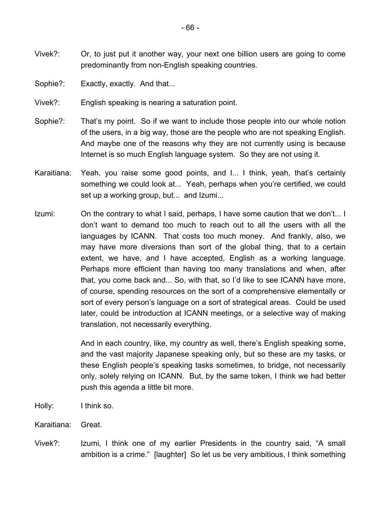- Vivek?: Or, to just put it another way, your next one billion users are going to come predominantly from non-English speaking countries.
- Sophie?: Exactly, exactly. And that...
- Vivek?: English speaking is nearing a saturation point.
- Sophie?: That's my point. So if we want to include those people into our whole notion of the users, in a big way, those are the people who are not speaking English. And maybe one of the reasons why they are not currently using is because Internet is so much English language system. So they are not using it.
- Karaitiana: Yeah, you raise some good points, and I... I think, yeah, that's certainly something we could look at... Yeah, perhaps when you're certified, we could set up a working group, but... and Izumi...
- Izumi: On the contrary to what I said, perhaps, I have some caution that we don't... I don't want to demand too much to reach out to all the users with all the languages by ICANN. That costs too much money. And frankly, also, we may have more diversions than sort of the global thing, that to a certain extent, we have, and I have accepted, English as a working language. Perhaps more efficient than having too many translations and when, after that, you come back and... So, with that, so I'd like to see ICANN have more, of course, spending resources on the sort of a comprehensive elementally or sort of every person's language on a sort of strategical areas. Could be used later, could be introduction at ICANN meetings, or a selective way of making translation, not necessarily everything.

And in each country, like, my country as well, there's English speaking some, and the vast majority Japanese speaking only, but so these are my tasks, or these English people's speaking tasks sometimes, to bridge, not necessarily only, solely relying on ICANN. But, by the same token, I think we had better push this agenda a little bit more.

- Holly: I think so.
- Karaitiana: Great.
- Vivek?: Izumi, I think one of my earlier Presidents in the country said, "A small ambition is a crime." [laughter] So let us be very ambitious, I think something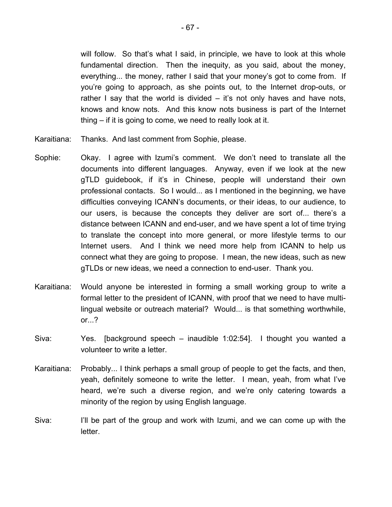will follow. So that's what I said, in principle, we have to look at this whole fundamental direction. Then the inequity, as you said, about the money, everything... the money, rather I said that your money's got to come from. If you're going to approach, as she points out, to the Internet drop-outs, or rather I say that the world is divided  $-$  it's not only haves and have nots, knows and know nots. And this know nots business is part of the Internet thing – if it is going to come, we need to really look at it.

- Karaitiana: Thanks. And last comment from Sophie, please.
- Sophie: Okay. I agree with Izumi's comment. We don't need to translate all the documents into different languages. Anyway, even if we look at the new gTLD guidebook, if it's in Chinese, people will understand their own professional contacts. So I would... as I mentioned in the beginning, we have difficulties conveying ICANN's documents, or their ideas, to our audience, to our users, is because the concepts they deliver are sort of... there's a distance between ICANN and end-user, and we have spent a lot of time trying to translate the concept into more general, or more lifestyle terms to our Internet users. And I think we need more help from ICANN to help us connect what they are going to propose. I mean, the new ideas, such as new gTLDs or new ideas, we need a connection to end-user. Thank you.
- Karaitiana: Would anyone be interested in forming a small working group to write a formal letter to the president of ICANN, with proof that we need to have multilingual website or outreach material? Would... is that something worthwhile, or...?
- Siva: Yes. [background speech inaudible 1:02:54]. I thought you wanted a volunteer to write a letter.
- Karaitiana: Probably... I think perhaps a small group of people to get the facts, and then, yeah, definitely someone to write the letter. I mean, yeah, from what I've heard, we're such a diverse region, and we're only catering towards a minority of the region by using English language.
- Siva: I'll be part of the group and work with Izumi, and we can come up with the letter.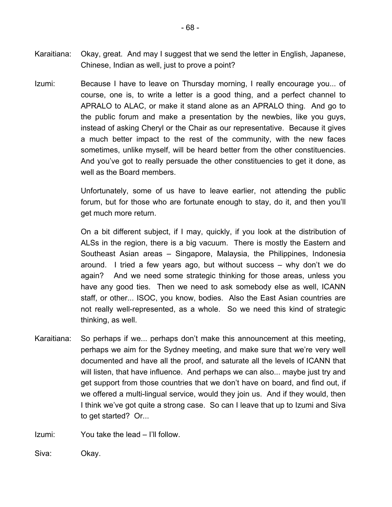- Karaitiana: Okay, great. And may I suggest that we send the letter in English, Japanese, Chinese, Indian as well, just to prove a point?
- Izumi: Because I have to leave on Thursday morning, I really encourage you... of course, one is, to write a letter is a good thing, and a perfect channel to APRALO to ALAC, or make it stand alone as an APRALO thing. And go to the public forum and make a presentation by the newbies, like you guys, instead of asking Cheryl or the Chair as our representative. Because it gives a much better impact to the rest of the community, with the new faces sometimes, unlike myself, will be heard better from the other constituencies. And you've got to really persuade the other constituencies to get it done, as well as the Board members.

Unfortunately, some of us have to leave earlier, not attending the public forum, but for those who are fortunate enough to stay, do it, and then you'll get much more return.

On a bit different subject, if I may, quickly, if you look at the distribution of ALSs in the region, there is a big vacuum. There is mostly the Eastern and Southeast Asian areas – Singapore, Malaysia, the Philippines, Indonesia around. I tried a few years ago, but without success – why don't we do again? And we need some strategic thinking for those areas, unless you have any good ties. Then we need to ask somebody else as well, ICANN staff, or other... ISOC, you know, bodies. Also the East Asian countries are not really well-represented, as a whole. So we need this kind of strategic thinking, as well.

Karaitiana: So perhaps if we... perhaps don't make this announcement at this meeting, perhaps we aim for the Sydney meeting, and make sure that we're very well documented and have all the proof, and saturate all the levels of ICANN that will listen, that have influence. And perhaps we can also... maybe just try and get support from those countries that we don't have on board, and find out, if we offered a multi-lingual service, would they join us. And if they would, then I think we've got quite a strong case. So can I leave that up to Izumi and Siva to get started? Or...

Izumi: You take the lead – I'll follow.

Siva: Okay.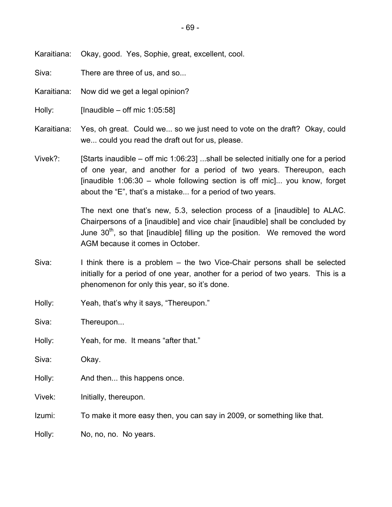Karaitiana: Okay, good. Yes, Sophie, great, excellent, cool.

Siva: There are three of us, and so...

Karaitiana: Now did we get a legal opinion?

Holly: [Inaudible – off mic 1:05:58]

- Karaitiana: Yes, oh great. Could we... so we just need to vote on the draft? Okay, could we... could you read the draft out for us, please.
- Vivek?: [Starts inaudible off mic 1:06:23] ...shall be selected initially one for a period of one year, and another for a period of two years. Thereupon, each [inaudible 1:06:30 – whole following section is off mic]... you know, forget about the "E", that's a mistake... for a period of two years.

The next one that's new, 5.3, selection process of a [inaudible] to ALAC. Chairpersons of a [inaudible] and vice chair [inaudible] shall be concluded by June  $30<sup>th</sup>$ , so that [inaudible] filling up the position. We removed the word AGM because it comes in October.

- Siva: I think there is a problem the two Vice-Chair persons shall be selected initially for a period of one year, another for a period of two years. This is a phenomenon for only this year, so it's done.
- Holly: Yeah, that's why it says, "Thereupon."

Siva: Thereupon...

Holly: Yeah, for me. It means "after that."

Siva: Okay.

Holly: And then... this happens once.

Vivek: Initially, thereupon.

Izumi: To make it more easy then, you can say in 2009, or something like that.

Holly: No, no, no. No years.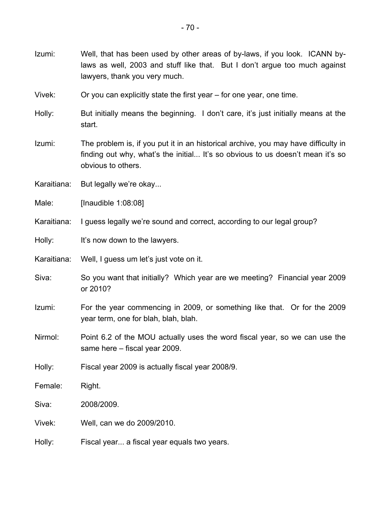Vivek: Or you can explicitly state the first year – for one year, one time.

Holly: But initially means the beginning. I don't care, it's just initially means at the start.

Izumi: The problem is, if you put it in an historical archive, you may have difficulty in finding out why, what's the initial... It's so obvious to us doesn't mean it's so obvious to others.

Karaitiana: But legally we're okay...

Male: [Inaudible 1:08:08]

Karaitiana: I guess legally we're sound and correct, according to our legal group?

Holly: It's now down to the lawyers.

Karaitiana: Well, I guess um let's just vote on it.

- Siva: So you want that initially? Which year are we meeting? Financial year 2009 or 2010?
- Izumi: For the year commencing in 2009, or something like that. Or for the 2009 year term, one for blah, blah, blah.
- Nirmol: Point 6.2 of the MOU actually uses the word fiscal year, so we can use the same here – fiscal year 2009.

Holly: Fiscal year 2009 is actually fiscal year 2008/9.

Female: Right.

Siva: 2008/2009.

Vivek: Well, can we do 2009/2010.

Holly: Fiscal year... a fiscal year equals two years.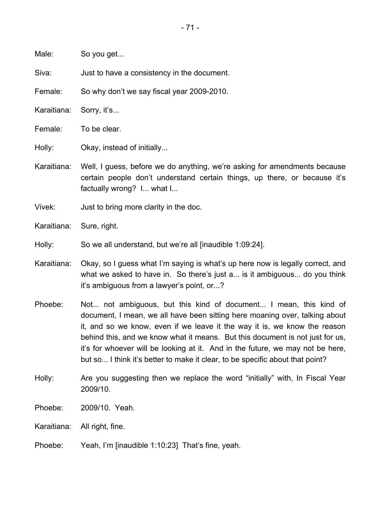Male: So you get...

Siva: Just to have a consistency in the document.

Female: So why don't we say fiscal year 2009-2010.

Karaitiana: Sorry, it's...

Female: To be clear.

Holly: Okay, instead of initially...

Karaitiana: Well, I guess, before we do anything, we're asking for amendments because certain people don't understand certain things, up there, or because it's factually wrong? I... what I...

Vivek: Just to bring more clarity in the doc.

Karaitiana: Sure, right.

Holly: So we all understand, but we're all [inaudible 1:09:24].

Karaitiana: Okay, so I guess what I'm saying is what's up here now is legally correct, and what we asked to have in. So there's just a... is it ambiguous... do you think it's ambiguous from a lawyer's point, or...?

- Phoebe: Not... not ambiguous, but this kind of document... I mean, this kind of document, I mean, we all have been sitting here moaning over, talking about it, and so we know, even if we leave it the way it is, we know the reason behind this, and we know what it means. But this document is not just for us, it's for whoever will be looking at it. And in the future, we may not be here, but so... I think it's better to make it clear, to be specific about that point?
- Holly: Are you suggesting then we replace the word "initially" with, In Fiscal Year 2009/10.

Phoebe: 2009/10. Yeah.

Karaitiana: All right, fine.

Phoebe: Yeah, I'm [inaudible 1:10:23] That's fine, yeah.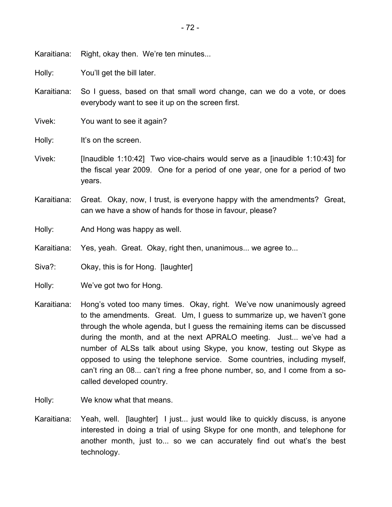Karaitiana: Right, okay then. We're ten minutes...

Holly: You'll get the bill later.

Karaitiana: So I guess, based on that small word change, can we do a vote, or does everybody want to see it up on the screen first.

Vivek: You want to see it again?

Holly: It's on the screen.

- Vivek: [Inaudible 1:10:42] Two vice-chairs would serve as a [inaudible 1:10:43] for the fiscal year 2009. One for a period of one year, one for a period of two years.
- Karaitiana: Great. Okay, now, I trust, is everyone happy with the amendments? Great, can we have a show of hands for those in favour, please?

Holly: And Hong was happy as well.

Karaitiana: Yes, yeah. Great. Okay, right then, unanimous... we agree to...

Siva?: Okay, this is for Hong. [laughter]

Holly: We've got two for Hong.

- Karaitiana: Hong's voted too many times. Okay, right. We've now unanimously agreed to the amendments. Great. Um, I guess to summarize up, we haven't gone through the whole agenda, but I guess the remaining items can be discussed during the month, and at the next APRALO meeting. Just... we've had a number of ALSs talk about using Skype, you know, testing out Skype as opposed to using the telephone service. Some countries, including myself, can't ring an 08... can't ring a free phone number, so, and I come from a socalled developed country.
- Holly: We know what that means.
- Karaitiana: Yeah, well. [laughter] I just... just would like to quickly discuss, is anyone interested in doing a trial of using Skype for one month, and telephone for another month, just to... so we can accurately find out what's the best technology.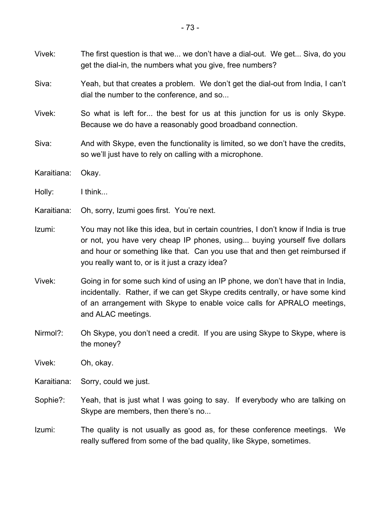- Vivek: The first question is that we... we don't have a dial-out. We get... Siva, do you get the dial-in, the numbers what you give, free numbers?
- Siva: Yeah, but that creates a problem. We don't get the dial-out from India, I can't dial the number to the conference, and so...
- Vivek: So what is left for... the best for us at this junction for us is only Skype. Because we do have a reasonably good broadband connection.
- Siva: And with Skype, even the functionality is limited, so we don't have the credits, so we'll just have to rely on calling with a microphone.
- Karaitiana: Okay.
- Holly: I think...
- Karaitiana: Oh, sorry, Izumi goes first. You're next.
- Izumi: You may not like this idea, but in certain countries, I don't know if India is true or not, you have very cheap IP phones, using... buying yourself five dollars and hour or something like that. Can you use that and then get reimbursed if you really want to, or is it just a crazy idea?
- Vivek: Going in for some such kind of using an IP phone, we don't have that in India, incidentally. Rather, if we can get Skype credits centrally, or have some kind of an arrangement with Skype to enable voice calls for APRALO meetings, and ALAC meetings.
- Nirmol?: Oh Skype, you don't need a credit. If you are using Skype to Skype, where is the money?
- Vivek: Oh, okay.
- Karaitiana: Sorry, could we just.
- Sophie?: Yeah, that is just what I was going to say. If everybody who are talking on Skype are members, then there's no...
- Izumi: The quality is not usually as good as, for these conference meetings. We really suffered from some of the bad quality, like Skype, sometimes.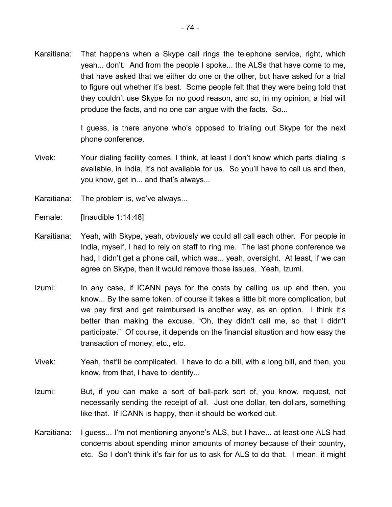Karaitiana: That happens when a Skype call rings the telephone service, right, which yeah... don't. And from the people I spoke... the ALSs that have come to me, that have asked that we either do one or the other, but have asked for a trial to figure out whether it's best. Some people felt that they were being told that they couldn't use Skype for no good reason, and so, in my opinion, a trial will produce the facts, and no one can argue with the facts. So...

> I guess, is there anyone who's opposed to trialing out Skype for the next phone conference.

- Vivek: Your dialing facility comes, I think, at least I don't know which parts dialing is available, in India, it's not available for us. So you'll have to call us and then, you know, get in... and that's always...
- Karaitiana: The problem is, we've always...
- Female: [Inaudible 1:14:48]
- Karaitiana: Yeah, with Skype, yeah, obviously we could all call each other. For people in India, myself, I had to rely on staff to ring me. The last phone conference we had, I didn't get a phone call, which was... yeah, oversight. At least, if we can agree on Skype, then it would remove those issues. Yeah, Izumi.
- Izumi: In any case, if ICANN pays for the costs by calling us up and then, you know... By the same token, of course it takes a little bit more complication, but we pay first and get reimbursed is another way, as an option. I think it's better than making the excuse, "Oh, they didn't call me, so that I didn't participate." Of course, it depends on the financial situation and how easy the transaction of money, etc., etc.
- Vivek: Yeah, that'll be complicated. I have to do a bill, with a long bill, and then, you know, from that, I have to identify...
- Izumi: But, if you can make a sort of ball-park sort of, you know, request, not necessarily sending the receipt of all. Just one dollar, ten dollars, something like that. If ICANN is happy, then it should be worked out.
- Karaitiana: I guess... I'm not mentioning anyone's ALS, but I have... at least one ALS had concerns about spending minor amounts of money because of their country, etc. So I don't think it's fair for us to ask for ALS to do that. I mean, it might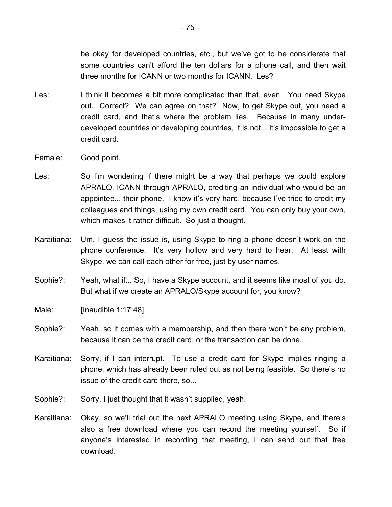be okay for developed countries, etc., but we've got to be considerate that some countries can't afford the ten dollars for a phone call, and then wait three months for ICANN or two months for ICANN. Les?

- Les: I think it becomes a bit more complicated than that, even. You need Skype out. Correct? We can agree on that? Now, to get Skype out, you need a credit card, and that's where the problem lies. Because in many underdeveloped countries or developing countries, it is not... it's impossible to get a credit card.
- Female: Good point.
- Les: So I'm wondering if there might be a way that perhaps we could explore APRALO, ICANN through APRALO, crediting an individual who would be an appointee... their phone. I know it's very hard, because I've tried to credit my colleagues and things, using my own credit card. You can only buy your own, which makes it rather difficult. So just a thought.
- Karaitiana: Um, I guess the issue is, using Skype to ring a phone doesn't work on the phone conference. It's very hollow and very hard to hear. At least with Skype, we can call each other for free, just by user names.
- Sophie?: Yeah, what if... So, I have a Skype account, and it seems like most of you do. But what if we create an APRALO/Skype account for, you know?
- Male: [Inaudible 1:17:48]
- Sophie?: Yeah, so it comes with a membership, and then there won't be any problem, because it can be the credit card, or the transaction can be done...
- Karaitiana: Sorry, if I can interrupt. To use a credit card for Skype implies ringing a phone, which has already been ruled out as not being feasible. So there's no issue of the credit card there, so...
- Sophie?: Sorry, I just thought that it wasn't supplied, yeah.
- Karaitiana: Okay, so we'll trial out the next APRALO meeting using Skype, and there's also a free download where you can record the meeting yourself. So if anyone's interested in recording that meeting, I can send out that free download.